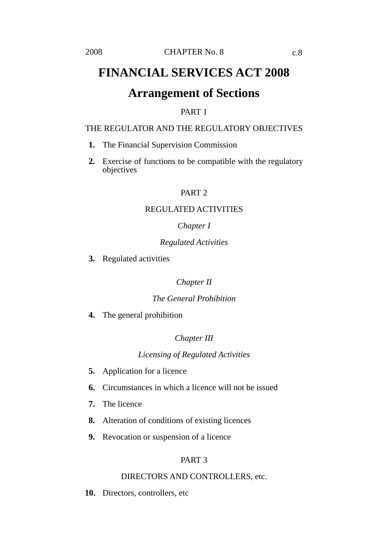# **Arrangement of Sections**

# PART 1

# THE REGULATOR AND THE REGULATORY OBJECTIVES

- **1.** The Financial Supervision Commission
- **2.** Exercise of functions to be compatible with the regulatory objectives

### PART<sub>2</sub>

### REGULATED ACTIVITIES

### *Chapter I*

# *Regulated Activities*

**3.** Regulated activities

# *Chapter II*

### *The General Prohibition*

**4.** The general prohibition

# *Chapter III*

## *Licensing of Regulated Activities*

- **5.** Application for a licence
- **6.** Circumstances in which a licence will not be issued
- **7.** The licence
- **8.** Alteration of conditions of existing licences
- **9.** Revocation or suspension of a licence

# PART 3

### DIRECTORS AND CONTROLLERS, etc.

**10.** Directors, controllers, etc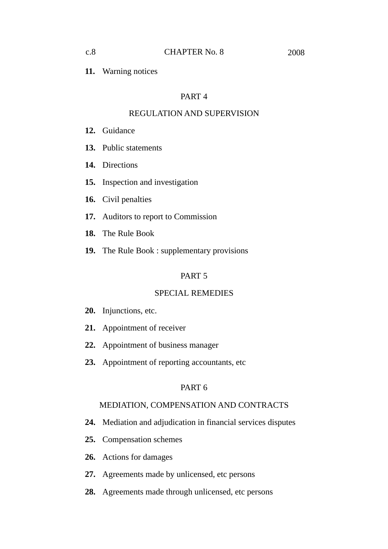**11.** Warning notices

# PART 4

# REGULATION AND SUPERVISION

- **12.** Guidance
- **13.** Public statements
- **14.** Directions
- **15.** Inspection and investigation
- **16.** Civil penalties
- **17.** Auditors to report to Commission
- **18.** The Rule Book
- **19.** The Rule Book : supplementary provisions

# PART 5

# SPECIAL REMEDIES

- **20.** Injunctions, etc.
- **21.** Appointment of receiver
- **22.** Appointment of business manager
- **23.** Appointment of reporting accountants, etc

## PART 6

# MEDIATION, COMPENSATION AND CONTRACTS

- **24.** Mediation and adjudication in financial services disputes
- **25.** Compensation schemes
- **26.** Actions for damages
- **27.** Agreements made by unlicensed, etc persons
- **28.** Agreements made through unlicensed, etc persons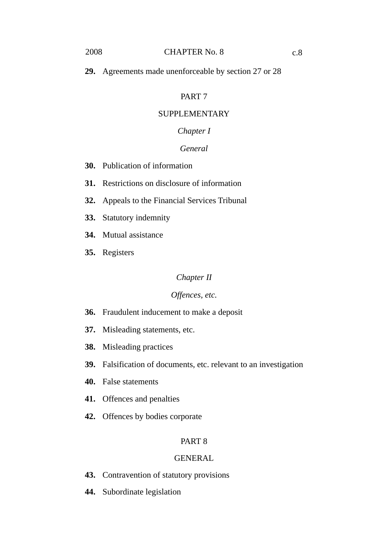# PART 7

# SUPPLEMENTARY

# *Chapter I*

# *General*

- **30.** Publication of information
- **31.** Restrictions on disclosure of information
- **32.** Appeals to the Financial Services Tribunal
- **33.** Statutory indemnity
- **34.** Mutual assistance
- **35.** Registers

### *Chapter II*

# *Offences, etc.*

- **36.** Fraudulent inducement to make a deposit
- **37.** Misleading statements, etc.
- **38.** Misleading practices
- **39.** Falsification of documents, etc. relevant to an investigation
- **40.** False statements
- **41.** Offences and penalties
- **42.** Offences by bodies corporate

### PART 8

### **GENERAL**

- **43.** Contravention of statutory provisions
- **44.** Subordinate legislation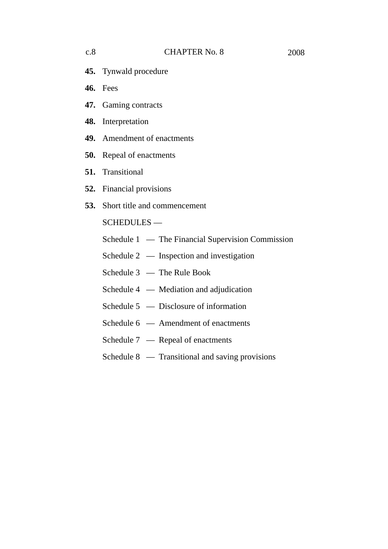- **45.** Tynwald procedure
- **46.** Fees
- **47.** Gaming contracts
- **48.** Interpretation
- **49.** Amendment of enactments
- **50.** Repeal of enactments
- **51.** Transitional
- **52.** Financial provisions
- **53.** Short title and commencement

## SCHEDULES —

|  | Schedule 1 — The Financial Supervision Commission |
|--|---------------------------------------------------|
|  | Schedule $2 -$ Inspection and investigation       |
|  | Schedule $3$ — The Rule Book                      |
|  | Schedule $4 -$ Mediation and adjudication         |

- 
- Schedule 5 Disclosure of information
- Schedule 6 Amendment of enactments
- Schedule 7 Repeal of enactments
- Schedule 8 Transitional and saving provisions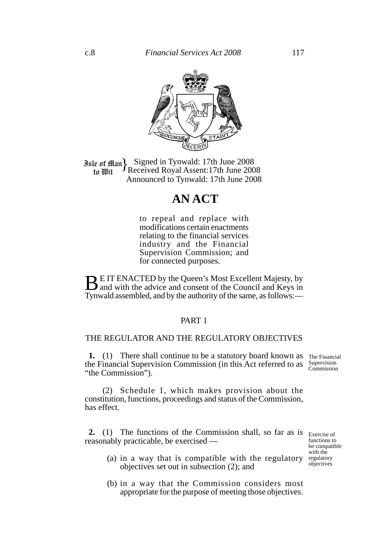

**Jale of Man** Signed in Tynwald: 17th June 2008<br>to Wit Theceived Royal Assent: 17th June 2008 Received Royal Assent:17th June 2008 Announced to Tynwald: 17th June 2008

# **AN ACT**

to repeal and replace with modifications certain enactments relating to the financial services industry and the Financial Supervision Commission; and for connected purposes.

**BE IT ENACTED by the Queen's Most Excellent Majesty, by** and with the advice and consent of the Council and Keys in Tynwald assembled, and by the authority of the same, as follows:—

#### PART 1

#### THE REGULATOR AND THE REGULATORY OBJECTIVES

**1.** (1) There shall continue to be a statutory board known as the Financial Supervision Commission (in this Act referred to as "the Commission").

The Financial Supervision Commission

(2) Schedule 1, which makes provision about the constitution, functions, proceedings and status of the Commission, has effect.

**2.** (1) The functions of the Commission shall, so far as is Exercise of reasonably practicable, be exercised —

functions to be compatible with the regulatory objectives

- (a) in a way that is compatible with the regulatory objectives set out in subsection (2); and
- (b) in a way that the Commission considers most appropriate for the purpose of meeting those objectives.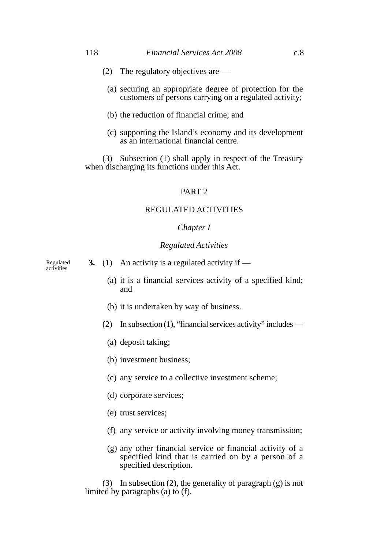- (2) The regulatory objectives are
	- (a) securing an appropriate degree of protection for the customers of persons carrying on a regulated activity;
	- (b) the reduction of financial crime; and
	- (c) supporting the Island's economy and its development as an international financial centre.

(3) Subsection (1) shall apply in respect of the Treasury when discharging its functions under this Act.

### PART 2

#### REGULATED ACTIVITIES

#### *Chapter I*

#### *Regulated Activities*

Regulated activities

- **3.** (1) An activity is a regulated activity if
	- (a) it is a financial services activity of a specified kind; and
	- (b) it is undertaken by way of business.
	- (2) In subsection (1), "financial services activity" includes
		- (a) deposit taking;
		- (b) investment business;
		- (c) any service to a collective investment scheme;
		- (d) corporate services;
		- (e) trust services;
		- (f) any service or activity involving money transmission;
		- (g) any other financial service or financial activity of a specified kind that is carried on by a person of a specified description.

(3) In subsection (2), the generality of paragraph (g) is not limited by paragraphs (a) to (f).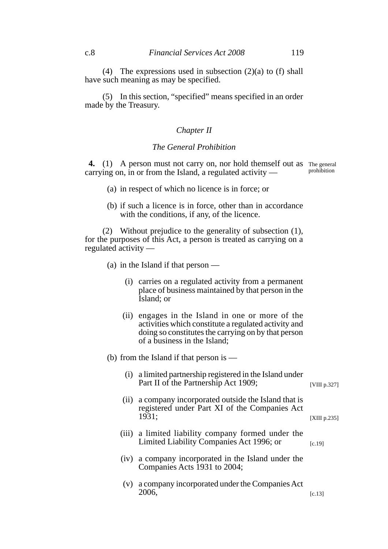(4) The expressions used in subsection  $(2)(a)$  to  $(f)$  shall have such meaning as may be specified.

(5) In this section, "specified" means specified in an order made by the Treasury.

#### *Chapter II*

#### *The General Prohibition*

4. (1) A person must not carry on, nor hold themself out as The general carrying on, in or from the Island, a regulated activity prohibition

- (a) in respect of which no licence is in force; or
- (b) if such a licence is in force, other than in accordance with the conditions, if any, of the licence.

(2) Without prejudice to the generality of subsection (1), for the purposes of this Act, a person is treated as carrying on a regulated activity —

- (a) in the Island if that person
	- (i) carries on a regulated activity from a permanent place of business maintained by that person in the Island; or
	- (ii) engages in the Island in one or more of the activities which constitute a regulated activity and doing so constitutes the carrying on by that person of a business in the Island;

#### (b) from the Island if that person is —

(i) a limited partnership registered in the Island under Part II of the Partnership Act 1909;

(ii) a company incorporated outside the Island that is registered under Part XI of the Companies Act 1931;

[XIII p.235]

[c.19]

- (iii) a limited liability company formed under the Limited Liability Companies Act 1996; or
- (iv) a company incorporated in the Island under the Companies Acts 1931 to 2004;
- (v) a company incorporated under the Companies Act 2006, [c.13]

[VIII p.327]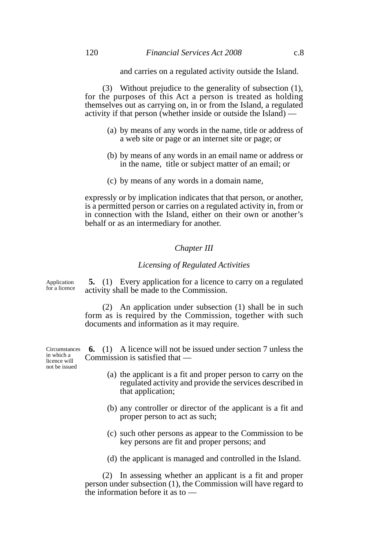and carries on a regulated activity outside the Island.

(3) Without prejudice to the generality of subsection (1), for the purposes of this Act a person is treated as holding themselves out as carrying on, in or from the Island, a regulated activity if that person (whether inside or outside the Island) —

- (a) by means of any words in the name, title or address of a web site or page or an internet site or page; or
- (b) by means of any words in an email name or address or in the name, title or subject matter of an email; or
- (c) by means of any words in a domain name,

expressly or by implication indicates that that person, or another, is a permitted person or carries on a regulated activity in, from or in connection with the Island, either on their own or another's behalf or as an intermediary for another.

#### *Chapter III*

#### *Licensing of Regulated Activities*

Application for a licence

**5.** (1) Every application for a licence to carry on a regulated activity shall be made to the Commission.

(2) An application under subsection (1) shall be in such form as is required by the Commission, together with such documents and information as it may require.

**6.** (1) A licence will not be issued under section 7 unless the Commission is satisfied that —

- (a) the applicant is a fit and proper person to carry on the regulated activity and provide the services described in that application;
- (b) any controller or director of the applicant is a fit and proper person to act as such;
- (c) such other persons as appear to the Commission to be key persons are fit and proper persons; and
- (d) the applicant is managed and controlled in the Island.

(2) In assessing whether an applicant is a fit and proper person under subsection (1), the Commission will have regard to the information before it as to —

**Circumstances** in which a licence will

not be issued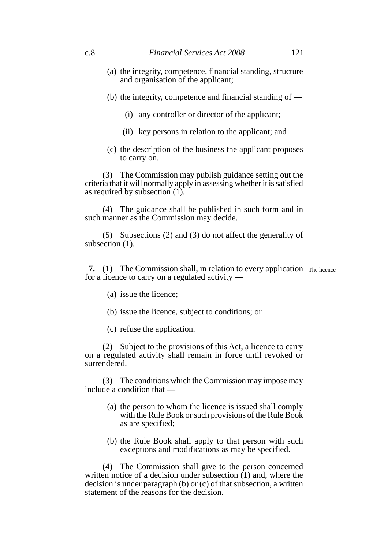- (a) the integrity, competence, financial standing, structure and organisation of the applicant;
- (b) the integrity, competence and financial standing of
	- (i) any controller or director of the applicant;
	- (ii) key persons in relation to the applicant; and
- (c) the description of the business the applicant proposes to carry on.

(3) The Commission may publish guidance setting out the criteria that it will normally apply in assessing whether it is satisfied as required by subsection  $(1)$ .

(4) The guidance shall be published in such form and in such manner as the Commission may decide.

(5) Subsections (2) and (3) do not affect the generality of subsection  $(1)$ .

**7.** (1) The Commission shall, in relation to every application The licence for a licence to carry on a regulated activity —

- (a) issue the licence;
- (b) issue the licence, subject to conditions; or
- (c) refuse the application.

(2) Subject to the provisions of this Act, a licence to carry on a regulated activity shall remain in force until revoked or surrendered.

(3) The conditions which the Commission may impose may include a condition that —

- (a) the person to whom the licence is issued shall comply with the Rule Book or such provisions of the Rule Book as are specified;
- (b) the Rule Book shall apply to that person with such exceptions and modifications as may be specified.

(4) The Commission shall give to the person concerned written notice of a decision under subsection  $(1)$  and, where the decision is under paragraph (b) or (c) of that subsection, a written statement of the reasons for the decision.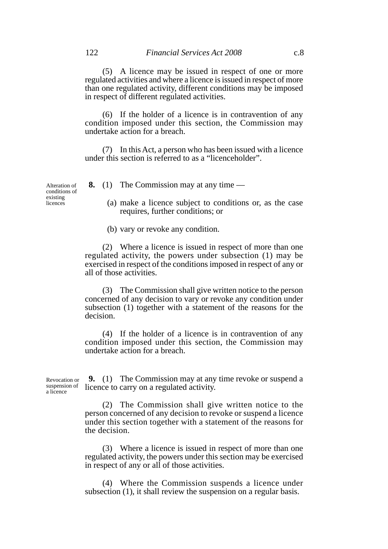(5) A licence may be issued in respect of one or more regulated activities and where a licence is issued in respect of more than one regulated activity, different conditions may be imposed in respect of different regulated activities.

(6) If the holder of a licence is in contravention of any condition imposed under this section, the Commission may undertake action for a breach.

(7) In this Act, a person who has been issued with a licence under this section is referred to as a "licenceholder".

Alteration of conditions of existing licences

- **8.** (1) The Commission may at any time
	- (a) make a licence subject to conditions or, as the case requires, further conditions; or

(b) vary or revoke any condition.

(2) Where a licence is issued in respect of more than one regulated activity, the powers under subsection (1) may be exercised in respect of the conditions imposed in respect of any or all of those activities.

(3) The Commission shall give written notice to the person concerned of any decision to vary or revoke any condition under subsection (1) together with a statement of the reasons for the decision.

(4) If the holder of a licence is in contravention of any condition imposed under this section, the Commission may undertake action for a breach.

Revocation or suspension of a licence

**9.** (1) The Commission may at any time revoke or suspend a licence to carry on a regulated activity.

(2) The Commission shall give written notice to the person concerned of any decision to revoke or suspend a licence under this section together with a statement of the reasons for the decision.

(3) Where a licence is issued in respect of more than one regulated activity, the powers under this section may be exercised in respect of any or all of those activities.

(4) Where the Commission suspends a licence under subsection (1), it shall review the suspension on a regular basis.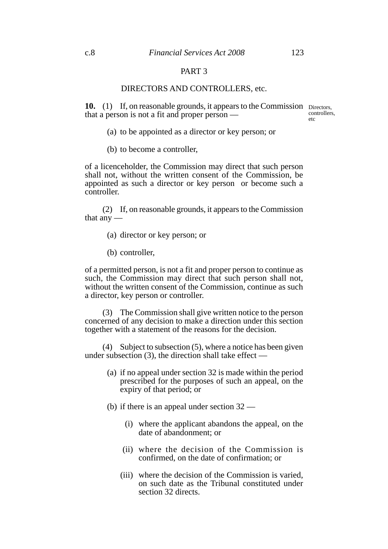### PART 3

#### DIRECTORS AND CONTROLLERS, etc.

10. (1) If, on reasonable grounds, it appears to the Commission Directors, that a person is not a fit and proper person —

controllers,  $etc$ 

- (a) to be appointed as a director or key person; or
- (b) to become a controller,

of a licenceholder, the Commission may direct that such person shall not, without the written consent of the Commission, be appointed as such a director or key person or become such a controller.

(2) If, on reasonable grounds, it appears to the Commission that any —

- (a) director or key person; or
- (b) controller,

of a permitted person, is not a fit and proper person to continue as such, the Commission may direct that such person shall not, without the written consent of the Commission, continue as such a director, key person or controller.

(3) The Commission shall give written notice to the person concerned of any decision to make a direction under this section together with a statement of the reasons for the decision.

(4) Subject to subsection (5), where a notice has been given under subsection  $(3)$ , the direction shall take effect —

- (a) if no appeal under section 32 is made within the period prescribed for the purposes of such an appeal, on the expiry of that period; or
- (b) if there is an appeal under section 32
	- (i) where the applicant abandons the appeal, on the date of abandonment; or
	- (ii) where the decision of the Commission is confirmed, on the date of confirmation; or
	- (iii) where the decision of the Commission is varied, on such date as the Tribunal constituted under section 32 directs.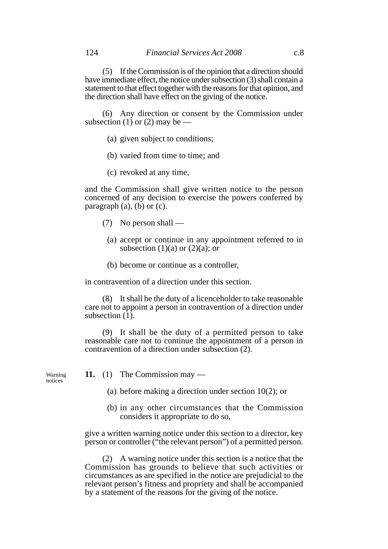(5) If the Commission is of the opinion that a direction should have immediate effect, the notice under subsection (3) shall contain a statement to that effect together with the reasons for that opinion, and the direction shall have effect on the giving of the notice.

(6) Any direction or consent by the Commission under subsection (1) or (2) may be —

- (a) given subject to conditions;
- (b) varied from time to time; and
- (c) revoked at any time,

and the Commission shall give written notice to the person concerned of any decision to exercise the powers conferred by paragraph  $(a)$ ,  $(b)$  or  $(c)$ .

- (7) No person shall
	- (a) accept or continue in any appointment referred to in subsection  $(1)(a)$  or  $(2)(a)$ ; or
	- (b) become or continue as a controller,

in contravention of a direction under this section.

(8) It shall be the duty of a licenceholder to take reasonable care not to appoint a person in contravention of a direction under subsection  $(1)$ .

(9) It shall be the duty of a permitted person to take reasonable care not to continue the appointment of a person in contravention of a direction under subsection (2).

Warning notices

- **11.** (1) The Commission may
	- (a) before making a direction under section 10(2); or
	- (b) in any other circumstances that the Commission considers it appropriate to do so,

give a written warning notice under this section to a director, key person or controller ("the relevant person") of a permitted person.

(2) A warning notice under this section is a notice that the Commission has grounds to believe that such activities or circumstances as are specified in the notice are prejudicial to the relevant person's fitness and propriety and shall be accompanied by a statement of the reasons for the giving of the notice.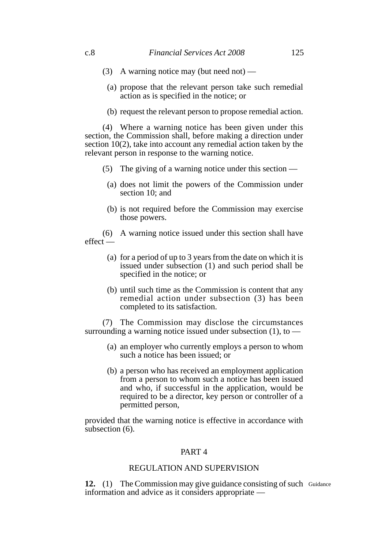- (3) A warning notice may (but need not) —
- (a) propose that the relevant person take such remedial action as is specified in the notice; or
- (b) request the relevant person to propose remedial action.

(4) Where a warning notice has been given under this section, the Commission shall, before making a direction under section 10(2), take into account any remedial action taken by the relevant person in response to the warning notice.

- (5) The giving of a warning notice under this section
	- (a) does not limit the powers of the Commission under section 10; and
	- (b) is not required before the Commission may exercise those powers.

(6) A warning notice issued under this section shall have effect —

- (a) for a period of up to 3 years from the date on which it is issued under subsection (1) and such period shall be specified in the notice; or
- (b) until such time as the Commission is content that any remedial action under subsection (3) has been completed to its satisfaction.

(7) The Commission may disclose the circumstances surrounding a warning notice issued under subsection  $(1)$ , to —

- (a) an employer who currently employs a person to whom such a notice has been issued; or
- (b) a person who has received an employment application from a person to whom such a notice has been issued and who, if successful in the application, would be required to be a director, key person or controller of a permitted person,

provided that the warning notice is effective in accordance with subsection (6).

### PART 4

### REGULATION AND SUPERVISION

12. (1) The Commission may give guidance consisting of such Guidance information and advice as it considers appropriate —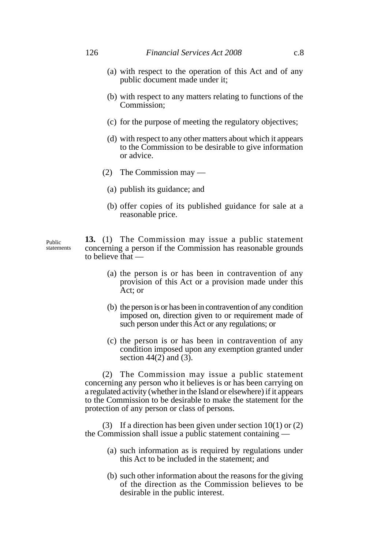- (a) with respect to the operation of this Act and of any public document made under it;
- (b) with respect to any matters relating to functions of the Commission;
- (c) for the purpose of meeting the regulatory objectives;
- (d) with respect to any other matters about which it appears to the Commission to be desirable to give information or advice.
- (2) The Commission may
	- (a) publish its guidance; and
	- (b) offer copies of its published guidance for sale at a reasonable price.

**13.** (1) The Commission may issue a public statement concerning a person if the Commission has reasonable grounds to believe that —

- (a) the person is or has been in contravention of any provision of this Act or a provision made under this Act; or
- (b) the person is or has been in contravention of any condition imposed on, direction given to or requirement made of such person under this Act or any regulations; or
- (c) the person is or has been in contravention of any condition imposed upon any exemption granted under section  $44(2)$  and  $(3)$ .

(2) The Commission may issue a public statement concerning any person who it believes is or has been carrying on a regulated activity (whether in the Island or elsewhere) if it appears to the Commission to be desirable to make the statement for the protection of any person or class of persons.

(3) If a direction has been given under section 10(1) or (2) the Commission shall issue a public statement containing —

- (a) such information as is required by regulations under this Act to be included in the statement; and
- (b) such other information about the reasons for the giving of the direction as the Commission believes to be desirable in the public interest.

Public statements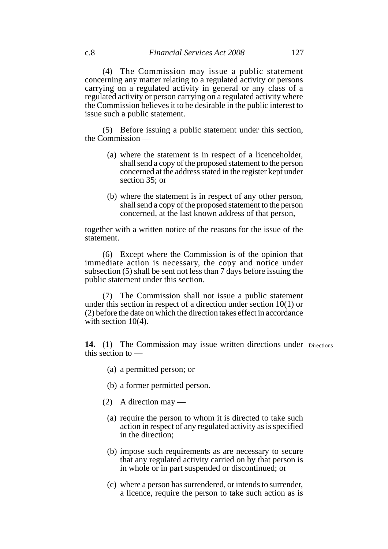(4) The Commission may issue a public statement concerning any matter relating to a regulated activity or persons carrying on a regulated activity in general or any class of a regulated activity or person carrying on a regulated activity where the Commission believes it to be desirable in the public interest to issue such a public statement.

(5) Before issuing a public statement under this section, the Commission —

- (a) where the statement is in respect of a licenceholder, shall send a copy of the proposed statement to the person concerned at the address stated in the register kept under section 35; or
- (b) where the statement is in respect of any other person, shall send a copy of the proposed statement to the person concerned, at the last known address of that person,

together with a written notice of the reasons for the issue of the statement.

(6) Except where the Commission is of the opinion that immediate action is necessary, the copy and notice under subsection (5) shall be sent not less than 7 days before issuing the public statement under this section.

(7) The Commission shall not issue a public statement under this section in respect of a direction under section 10(1) or (2) before the date on which the direction takes effect in accordance with section  $10(4)$ .

14. (1) The Commission may issue written directions under Directions this section to —

- (a) a permitted person; or
- (b) a former permitted person.
- (2) A direction may
	- (a) require the person to whom it is directed to take such action in respect of any regulated activity as is specified in the direction;
	- (b) impose such requirements as are necessary to secure that any regulated activity carried on by that person is in whole or in part suspended or discontinued; or
	- (c) where a person has surrendered, or intends to surrender, a licence, require the person to take such action as is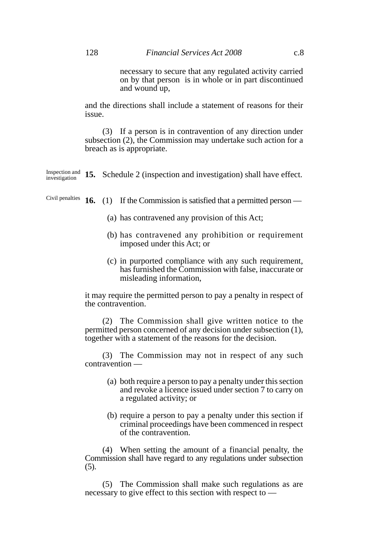necessary to secure that any regulated activity carried on by that person is in whole or in part discontinued and wound up,

and the directions shall include a statement of reasons for their issue.

(3) If a person is in contravention of any direction under subsection (2), the Commission may undertake such action for a breach as is appropriate.

Inspection and  $15.$  Schedule 2 (inspection and investigation) shall have effect. investigation

**16.** (1) If the Commission is satisfied that a permitted person — Civil penalties

- (a) has contravened any provision of this Act;
- (b) has contravened any prohibition or requirement imposed under this Act; or
- (c) in purported compliance with any such requirement, has furnished the Commission with false, inaccurate or misleading information,

it may require the permitted person to pay a penalty in respect of the contravention.

(2) The Commission shall give written notice to the permitted person concerned of any decision under subsection (1), together with a statement of the reasons for the decision.

(3) The Commission may not in respect of any such contravention —

- (a) both require a person to pay a penalty under this section and revoke a licence issued under section 7 to carry on a regulated activity; or
- (b) require a person to pay a penalty under this section if criminal proceedings have been commenced in respect of the contravention.

(4) When setting the amount of a financial penalty, the Commission shall have regard to any regulations under subsection (5).

(5) The Commission shall make such regulations as are necessary to give effect to this section with respect to —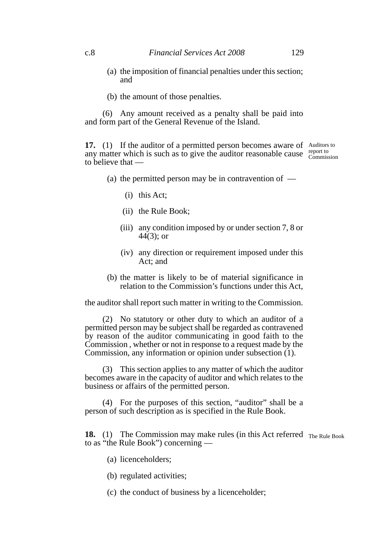- (a) the imposition of financial penalties under this section; and
- (b) the amount of those penalties.

(6) Any amount received as a penalty shall be paid into and form part of the General Revenue of the Island.

**17.** (1) If the auditor of a permitted person becomes aware of Auditors to any matter which is such as to give the auditor reasonable cause  $\frac{\text{report to}}{\text{Commis}}$ to believe that — Commission

- (a) the permitted person may be in contravention of  $-$ 
	- (i) this Act;
	- (ii) the Rule Book;
	- (iii) any condition imposed by or under section 7, 8 or 44(3); or
	- (iv) any direction or requirement imposed under this Act; and
- (b) the matter is likely to be of material significance in relation to the Commission's functions under this Act,

the auditor shall report such matter in writing to the Commission.

(2) No statutory or other duty to which an auditor of a permitted person may be subject shall be regarded as contravened by reason of the auditor communicating in good faith to the Commission , whether or not in response to a request made by the Commission, any information or opinion under subsection (1).

(3) This section applies to any matter of which the auditor becomes aware in the capacity of auditor and which relates to the business or affairs of the permitted person.

(4) For the purposes of this section, "auditor" shall be a person of such description as is specified in the Rule Book.

**18.** (1) The Commission may make rules (in this Act referred The Rule Book to as "the Rule Book") concerning —

- (a) licenceholders;
- (b) regulated activities;
- (c) the conduct of business by a licenceholder;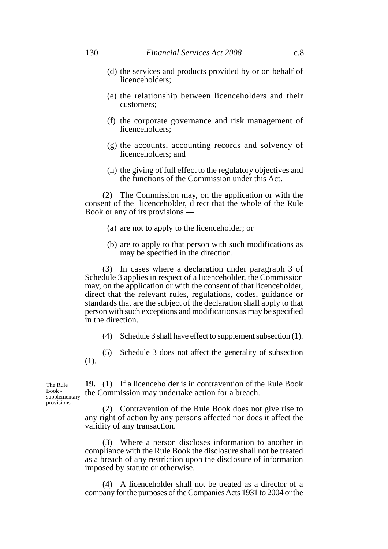- (d) the services and products provided by or on behalf of licenceholders;
- (e) the relationship between licenceholders and their customers;
- (f) the corporate governance and risk management of licenceholders;
- (g) the accounts, accounting records and solvency of licenceholders; and
- (h) the giving of full effect to the regulatory objectives and the functions of the Commission under this Act.

(2) The Commission may, on the application or with the consent of the licenceholder, direct that the whole of the Rule Book or any of its provisions —

- (a) are not to apply to the licenceholder; or
- (b) are to apply to that person with such modifications as may be specified in the direction.

(3) In cases where a declaration under paragraph 3 of Schedule 3 applies in respect of a licenceholder, the Commission may, on the application or with the consent of that licenceholder, direct that the relevant rules, regulations, codes, guidance or standards that are the subject of the declaration shall apply to that person with such exceptions and modifications as may be specified in the direction.

- (4) Schedule 3 shall have effect to supplement subsection (1).
- (5) Schedule 3 does not affect the generality of subsection (1).

The Rule Book supplementary provisions

**19.** (1) If a licenceholder is in contravention of the Rule Book the Commission may undertake action for a breach.

(2) Contravention of the Rule Book does not give rise to any right of action by any persons affected nor does it affect the validity of any transaction.

(3) Where a person discloses information to another in compliance with the Rule Book the disclosure shall not be treated as a breach of any restriction upon the disclosure of information imposed by statute or otherwise.

(4) A licenceholder shall not be treated as a director of a company for the purposes of the Companies Acts 1931 to 2004 or the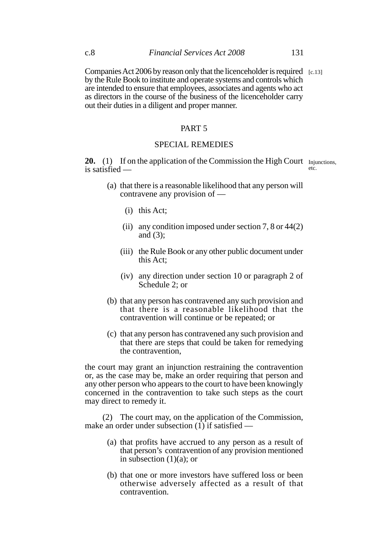Companies Act 2006 by reason only that the licenceholder is required [c.13]by the Rule Book to institute and operate systems and controls which are intended to ensure that employees, associates and agents who act as directors in the course of the business of the licenceholder carry out their duties in a diligent and proper manner.

#### PART 5

#### SPECIAL REMEDIES

20. (1) If on the application of the Commission the High Court Injunctions, is satisfied etc.

- (a) that there is a reasonable likelihood that any person will contravene any provision of —
	- (i) this Act;
	- (ii) any condition imposed under section 7, 8 or 44(2) and  $(3)$ ;
	- (iii) the Rule Book or any other public document under this Act;
	- (iv) any direction under section 10 or paragraph 2 of Schedule 2; or
- (b) that any person has contravened any such provision and that there is a reasonable likelihood that the contravention will continue or be repeated; or
- (c) that any person has contravened any such provision and that there are steps that could be taken for remedying the contravention,

the court may grant an injunction restraining the contravention or, as the case may be, make an order requiring that person and any other person who appears to the court to have been knowingly concerned in the contravention to take such steps as the court may direct to remedy it.

(2) The court may, on the application of the Commission, make an order under subsection  $(1)$  if satisfied —

- (a) that profits have accrued to any person as a result of that person's contravention of any provision mentioned in subsection (1)(a); or
- (b) that one or more investors have suffered loss or been otherwise adversely affected as a result of that contravention.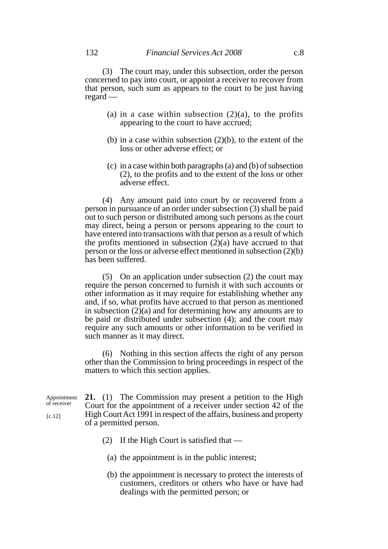(3) The court may, under this subsection, order the person concerned to pay into court, or appoint a receiver to recover from that person, such sum as appears to the court to be just having regard —

- (a) in a case within subsection  $(2)(a)$ , to the profits appearing to the court to have accrued;
- (b) in a case within subsection (2)(b), to the extent of the loss or other adverse effect; or
- (c) in a case within both paragraphs (a) and (b) of subsection (2), to the profits and to the extent of the loss or other adverse effect.

(4) Any amount paid into court by or recovered from a person in pursuance of an order under subsection (3) shall be paid out to such person or distributed among such persons as the court may direct, being a person or persons appearing to the court to have entered into transactions with that person as a result of which the profits mentioned in subsection  $(2)(a)$  have accrued to that person or the loss or adverse effect mentioned in subsection (2)(b) has been suffered.

(5) On an application under subsection (2) the court may require the person concerned to furnish it with such accounts or other information as it may require for establishing whether any and, if so, what profits have accrued to that person as mentioned in subsection (2)(a) and for determining how any amounts are to be paid or distributed under subsection (4); and the court may require any such amounts or other information to be verified in such manner as it may direct.

(6) Nothing in this section affects the right of any person other than the Commission to bring proceedings in respect of the matters to which this section applies.

**21.** (1) The Commission may present a petition to the High Court for the appointment of a receiver under section 42 of the High Court Act 1991 in respect of the affairs, business and property of a permitted person. Appointment of receiver

- (2) If the High Court is satisfied that
	- (a) the appointment is in the public interest;
	- (b) the appointment is necessary to protect the interests of customers, creditors or others who have or have had dealings with the permitted person; or

[c.12]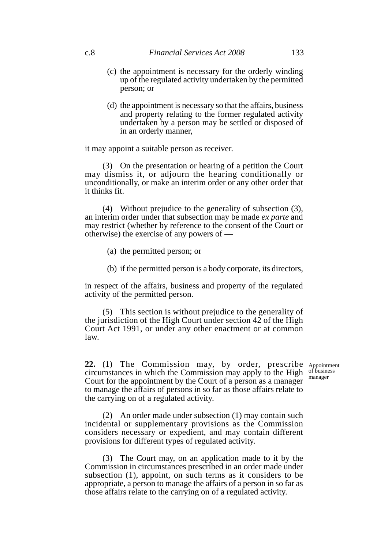- (c) the appointment is necessary for the orderly winding up of the regulated activity undertaken by the permitted person; or
- (d) the appointment is necessary so that the affairs, business and property relating to the former regulated activity undertaken by a person may be settled or disposed of in an orderly manner,

it may appoint a suitable person as receiver.

(3) On the presentation or hearing of a petition the Court may dismiss it, or adjourn the hearing conditionally or unconditionally, or make an interim order or any other order that it thinks fit.

(4) Without prejudice to the generality of subsection (3), an interim order under that subsection may be made *ex parte* and may restrict (whether by reference to the consent of the Court or otherwise) the exercise of any powers of —

(a) the permitted person; or

(b) if the permitted person is a body corporate, its directors,

in respect of the affairs, business and property of the regulated activity of the permitted person.

(5) This section is without prejudice to the generality of the jurisdiction of the High Court under section 42 of the High Court Act 1991, or under any other enactment or at common law.

**22.** (1) The Commission may, by order, prescribe Appointment circumstances in which the Commission may apply to the High Court for the appointment by the Court of a person as a manager to manage the affairs of persons in so far as those affairs relate to the carrying on of a regulated activity.

of business manager

(2) An order made under subsection (1) may contain such incidental or supplementary provisions as the Commission considers necessary or expedient, and may contain different provisions for different types of regulated activity.

(3) The Court may, on an application made to it by the Commission in circumstances prescribed in an order made under subsection (1), appoint, on such terms as it considers to be appropriate, a person to manage the affairs of a person in so far as those affairs relate to the carrying on of a regulated activity.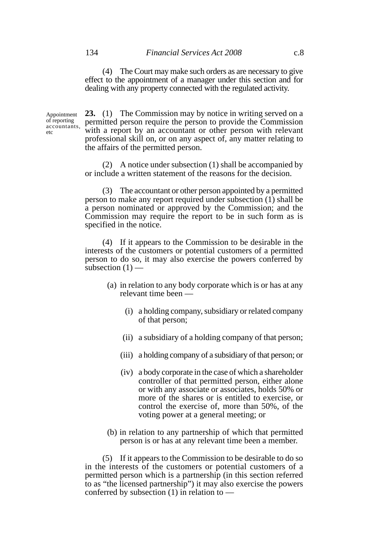(4) The Court may make such orders as are necessary to give effect to the appointment of a manager under this section and for dealing with any property connected with the regulated activity.

Appointment of reporting accountants, etc

**23.** (1) The Commission may by notice in writing served on a permitted person require the person to provide the Commission with a report by an accountant or other person with relevant professional skill on, or on any aspect of, any matter relating to the affairs of the permitted person.

(2) A notice under subsection (1) shall be accompanied by or include a written statement of the reasons for the decision.

(3) The accountant or other person appointed by a permitted person to make any report required under subsection  $(1)$  shall be a person nominated or approved by the Commission; and the Commission may require the report to be in such form as is specified in the notice.

(4) If it appears to the Commission to be desirable in the interests of the customers or potential customers of a permitted person to do so, it may also exercise the powers conferred by subsection  $(1)$  —

- (a) in relation to any body corporate which is or has at any relevant time been —
	- (i) a holding company, subsidiary or related company of that person;
	- (ii) a subsidiary of a holding company of that person;
	- (iii) a holding company of a subsidiary of that person; or
	- (iv) a body corporate in the case of which a shareholder controller of that permitted person, either alone or with any associate or associates, holds 50% or more of the shares or is entitled to exercise, or control the exercise of, more than 50%, of the voting power at a general meeting; or
- (b) in relation to any partnership of which that permitted person is or has at any relevant time been a member.

(5) If it appears to the Commission to be desirable to do so in the interests of the customers or potential customers of a permitted person which is a partnership (in this section referred to as "the licensed partnership") it may also exercise the powers conferred by subsection (1) in relation to —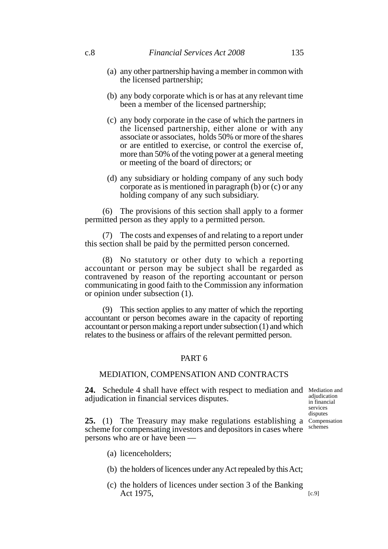- (a) any other partnership having a member in common with the licensed partnership;
- (b) any body corporate which is or has at any relevant time been a member of the licensed partnership;
- (c) any body corporate in the case of which the partners in the licensed partnership, either alone or with any associate or associates, holds 50% or more of the shares or are entitled to exercise, or control the exercise of, more than 50% of the voting power at a general meeting or meeting of the board of directors; or
- (d) any subsidiary or holding company of any such body corporate as is mentioned in paragraph (b) or (c) or any holding company of any such subsidiary.

(6) The provisions of this section shall apply to a former permitted person as they apply to a permitted person.

(7) The costs and expenses of and relating to a report under this section shall be paid by the permitted person concerned.

(8) No statutory or other duty to which a reporting accountant or person may be subject shall be regarded as contravened by reason of the reporting accountant or person communicating in good faith to the Commission any information or opinion under subsection (1).

(9) This section applies to any matter of which the reporting accountant or person becomes aware in the capacity of reporting accountant or person making a report under subsection (1) and which relates to the business or affairs of the relevant permitted person.

#### PART 6

#### MEDIATION, COMPENSATION AND CONTRACTS

24. Schedule 4 shall have effect with respect to mediation and Mediation and adjudication in financial services disputes.

Compensation schemes adjudication in financial services disputes

**25.** (1) The Treasury may make regulations establishing a scheme for compensating investors and depositors in cases where persons who are or have been —

- (a) licenceholders;
- (b) the holders of licences under any Act repealed by this Act;
- (c) the holders of licences under section 3 of the Banking Act 1975,  $[c.9]$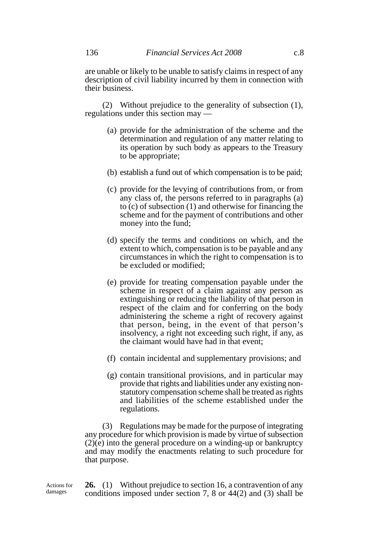are unable or likely to be unable to satisfy claims in respect of any description of civil liability incurred by them in connection with their business.

(2) Without prejudice to the generality of subsection (1), regulations under this section may —

- (a) provide for the administration of the scheme and the determination and regulation of any matter relating to its operation by such body as appears to the Treasury to be appropriate;
- (b) establish a fund out of which compensation is to be paid;
- (c) provide for the levying of contributions from, or from any class of, the persons referred to in paragraphs (a) to (c) of subsection (1) and otherwise for financing the scheme and for the payment of contributions and other money into the fund;
- (d) specify the terms and conditions on which, and the extent to which, compensation is to be payable and any circumstances in which the right to compensation is to be excluded or modified;
- (e) provide for treating compensation payable under the scheme in respect of a claim against any person as extinguishing or reducing the liability of that person in respect of the claim and for conferring on the body administering the scheme a right of recovery against that person, being, in the event of that person's insolvency, a right not exceeding such right, if any, as the claimant would have had in that event;
- (f) contain incidental and supplementary provisions; and
- (g) contain transitional provisions, and in particular may provide that rights and liabilities under any existing nonstatutory compensation scheme shall be treated as rights and liabilities of the scheme established under the regulations.

(3) Regulations may be made for the purpose of integrating any procedure for which provision is made by virtue of subsection  $(2)(e)$  into the general procedure on a winding-up or bankruptcy and may modify the enactments relating to such procedure for that purpose.

**26.** (1) Without prejudice to section 16, a contravention of any conditions imposed under section 7, 8 or 44(2) and (3) shall be Actions for

damages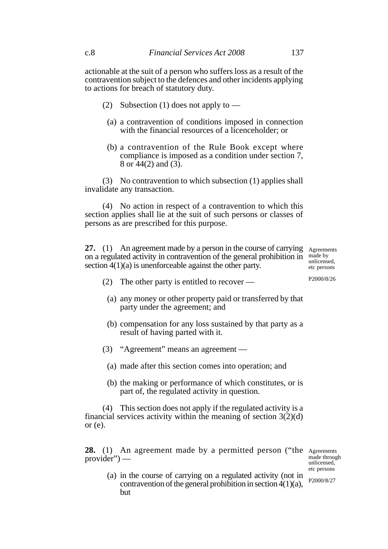actionable at the suit of a person who suffers loss as a result of the contravention subject to the defences and other incidents applying to actions for breach of statutory duty.

- (2) Subsection (1) does not apply to
	- (a) a contravention of conditions imposed in connection with the financial resources of a licenceholder; or
	- (b) a contravention of the Rule Book except where compliance is imposed as a condition under section 7, 8 or  $44(2)$  and  $(3)$ .

(3) No contravention to which subsection (1) applies shall invalidate any transaction.

(4) No action in respect of a contravention to which this section applies shall lie at the suit of such persons or classes of persons as are prescribed for this purpose.

**27.** (1) An agreement made by a person in the course of carrying Agreements on a regulated activity in contravention of the general prohibition in made by section  $4(1)(a)$  is unenforceable against the other party.

unlicensed, etc persons

- (2) The other party is entitled to recover
	- (a) any money or other property paid or transferred by that party under the agreement; and
	- (b) compensation for any loss sustained by that party as a result of having parted with it.
- (3) "Agreement" means an agreement
	- (a) made after this section comes into operation; and
	- (b) the making or performance of which constitutes, or is part of, the regulated activity in question.

(4) This section does not apply if the regulated activity is a financial services activity within the meaning of section  $3(2)(d)$ or (e).

28. (1) An agreement made by a permitted person ("the Agreements provider") —

made through unlicensed, etc persons

(a) in the course of carrying on a regulated activity (not in contravention of the general prohibition in section 4(1)(a), but P2000/8/27

P2000/8/26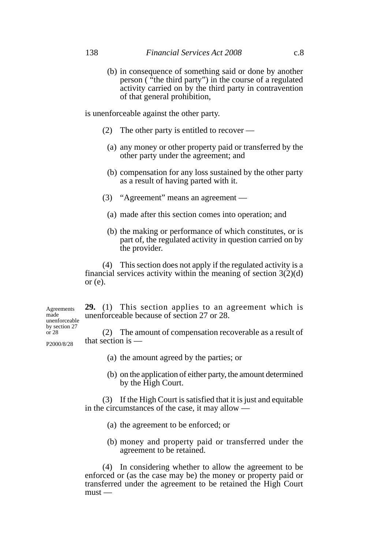(b) in consequence of something said or done by another person ( "the third party") in the course of a regulated activity carried on by the third party in contravention of that general prohibition,

is unenforceable against the other party.

- (2) The other party is entitled to recover
	- (a) any money or other property paid or transferred by the other party under the agreement; and
	- (b) compensation for any loss sustained by the other party as a result of having parted with it.
- (3) "Agreement" means an agreement
	- (a) made after this section comes into operation; and
	- (b) the making or performance of which constitutes, or is part of, the regulated activity in question carried on by the provider.

(4) This section does not apply if the regulated activity is a financial services activity within the meaning of section  $3(2)(d)$ or  $(e)$ .

**29.** (1) This section applies to an agreement which is unenforceable because of section 27 or 28.

(2) The amount of compensation recoverable as a result of that section is — P2000/8/28

- (a) the amount agreed by the parties; or
- (b) on the application of either party, the amount determined by the High Court.

(3) If the High Court is satisfied that it is just and equitable in the circumstances of the case, it may allow —

- (a) the agreement to be enforced; or
- (b) money and property paid or transferred under the agreement to be retained.

(4) In considering whether to allow the agreement to be enforced or (as the case may be) the money or property paid or transferred under the agreement to be retained the High Court  $must -$ 

Agreements made unenforceable by section 27 or 28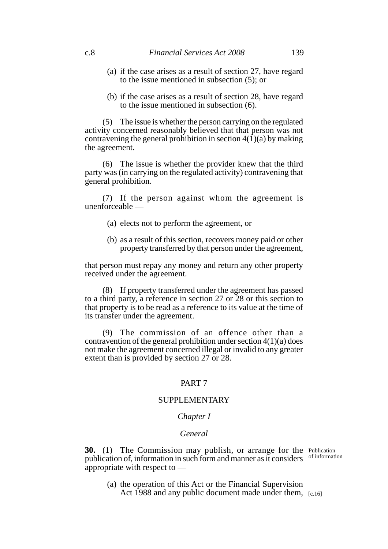- (a) if the case arises as a result of section 27, have regard to the issue mentioned in subsection (5); or
- (b) if the case arises as a result of section 28, have regard to the issue mentioned in subsection (6).

(5) The issue is whether the person carrying on the regulated activity concerned reasonably believed that that person was not contravening the general prohibition in section  $4(1)(a)$  by making the agreement.

(6) The issue is whether the provider knew that the third party was (in carrying on the regulated activity) contravening that general prohibition.

(7) If the person against whom the agreement is unenforceable —

- (a) elects not to perform the agreement, or
- (b) as a result of this section, recovers money paid or other property transferred by that person under the agreement,

that person must repay any money and return any other property received under the agreement.

(8) If property transferred under the agreement has passed to a third party, a reference in section 27 or 28 or this section to that property is to be read as a reference to its value at the time of its transfer under the agreement.

(9) The commission of an offence other than a contravention of the general prohibition under section 4(1)(a) does not make the agreement concerned illegal or invalid to any greater extent than is provided by section 27 or 28.

#### PART 7

### SUPPLEMENTARY

### *Chapter I*

#### *General*

**30.** (1) The Commission may publish, or arrange for the Publication publication of, information in such form and manner as it considers of information appropriate with respect to —

(a) the operation of this Act or the Financial Supervision Act 1988 and any public document made under them, [c.16]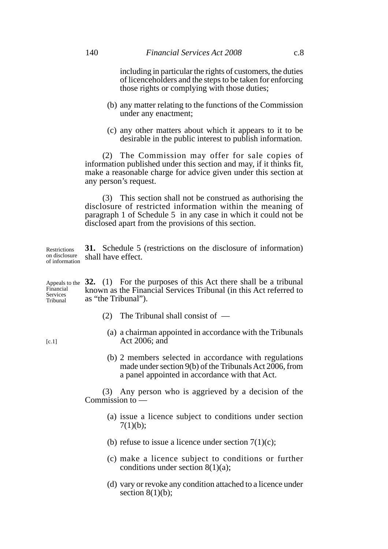including in particular the rights of customers, the duties of licenceholders and the steps to be taken for enforcing those rights or complying with those duties;

- (b) any matter relating to the functions of the Commission under any enactment;
- (c) any other matters about which it appears to it to be desirable in the public interest to publish information.

(2) The Commission may offer for sale copies of information published under this section and may, if it thinks fit, make a reasonable charge for advice given under this section at any person's request.

(3) This section shall not be construed as authorising the disclosure of restricted information within the meaning of paragraph 1 of Schedule 5 in any case in which it could not be disclosed apart from the provisions of this section.

**31.** Schedule 5 (restrictions on the disclosure of information) shall have effect. Restrictions on disclosure of information

Appeals to the 32. (1) For the purposes of this Act there shall be a tribunal known as the Financial Services Tribunal (in this Act referred to as "the Tribunal"). Financial Services Tribunal

- (2) The Tribunal shall consist of
	- (a) a chairman appointed in accordance with the Tribunals Act 2006; and
	- (b) 2 members selected in accordance with regulations made under section 9(b) of the Tribunals Act 2006, from a panel appointed in accordance with that Act.

(3) Any person who is aggrieved by a decision of the Commission to —

- (a) issue a licence subject to conditions under section  $7(1)(b)$ ;
- (b) refuse to issue a licence under section  $7(1)(c)$ ;
- (c) make a licence subject to conditions or further conditions under section 8(1)(a);
- (d) vary or revoke any condition attached to a licence under section  $8(1)(b)$ ;

 $[c.1]$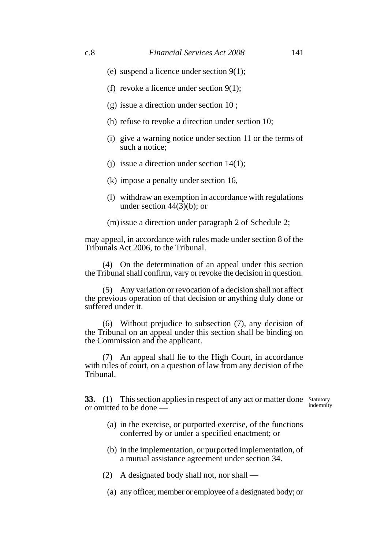- (e) suspend a licence under section 9(1);
- (f) revoke a licence under section 9(1);
- (g) issue a direction under section 10 ;
- (h) refuse to revoke a direction under section 10;
- (i) give a warning notice under section 11 or the terms of such a notice:
- (j) issue a direction under section 14(1);
- (k) impose a penalty under section 16,
- (l) withdraw an exemption in accordance with regulations under section  $44(3)(b)$ ; or
- (m)issue a direction under paragraph 2 of Schedule 2;

may appeal, in accordance with rules made under section 8 of the Tribunals Act 2006, to the Tribunal.

(4) On the determination of an appeal under this section the Tribunal shall confirm, vary or revoke the decision in question.

(5) Any variation or revocation of a decision shall not affect the previous operation of that decision or anything duly done or suffered under it.

(6) Without prejudice to subsection (7), any decision of the Tribunal on an appeal under this section shall be binding on the Commission and the applicant.

(7) An appeal shall lie to the High Court, in accordance with rules of court, on a question of law from any decision of the Tribunal.

**33.** (1) This section applies in respect of any act or matter done Statutory or omitted to be done —

indemnity

- (a) in the exercise, or purported exercise, of the functions conferred by or under a specified enactment; or
- (b) in the implementation, or purported implementation, of a mutual assistance agreement under section 34.

(2) A designated body shall not, nor shall —

(a) any officer, member or employee of a designated body; or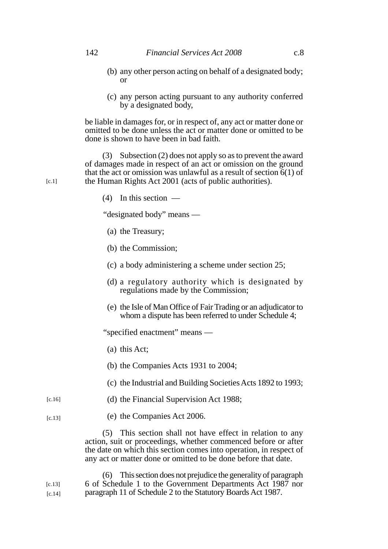- (b) any other person acting on behalf of a designated body; or
- (c) any person acting pursuant to any authority conferred by a designated body,

be liable in damages for, or in respect of, any act or matter done or omitted to be done unless the act or matter done or omitted to be done is shown to have been in bad faith.

(3) Subsection (2) does not apply so as to prevent the award of damages made in respect of an act or omission on the ground that the act or omission was unlawful as a result of section  $6(1)$  of the Human Rights Act 2001 (acts of public authorities).

(4) In this section —

"designated body" means —

- (a) the Treasury;
- (b) the Commission;
- (c) a body administering a scheme under section 25;
- (d) a regulatory authority which is designated by regulations made by the Commission;
- (e) the Isle of Man Office of Fair Trading or an adjudicator to whom a dispute has been referred to under Schedule 4;

"specified enactment" means —

- (a) this Act;
- (b) the Companies Acts 1931 to 2004;
- (c) the Industrial and Building Societies Acts 1892 to 1993;
- (d) the Financial Supervision Act 1988; [c.16]
- (e) the Companies Act 2006. [c.13]

(5) This section shall not have effect in relation to any action, suit or proceedings, whether commenced before or after the date on which this section comes into operation, in respect of any act or matter done or omitted to be done before that date.

(6) This section does not prejudice the generality of paragraph 6 of Schedule 1 to the Government Departments Act 1987 nor paragraph 11 of Schedule 2 to the Statutory Boards Act 1987.  $[c.13]$ [c.14]

 $[c.1]$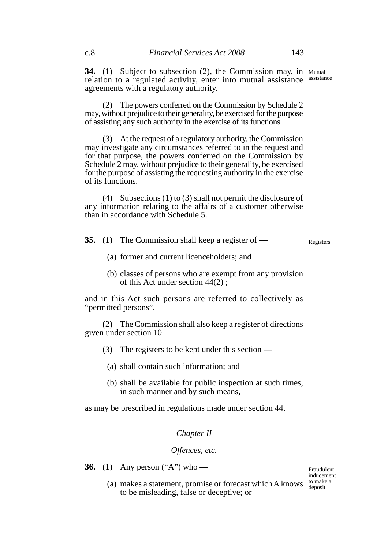**34.** (1) Subject to subsection (2), the Commission may, in Mutual relation to a regulated activity, enter into mutual assistance assistance agreements with a regulatory authority.

(2) The powers conferred on the Commission by Schedule 2 may, without prejudice to their generality, be exercised for the purpose of assisting any such authority in the exercise of its functions.

(3) At the request of a regulatory authority, the Commission may investigate any circumstances referred to in the request and for that purpose, the powers conferred on the Commission by Schedule 2 may, without prejudice to their generality, be exercised for the purpose of assisting the requesting authority in the exercise of its functions.

(4) Subsections (1) to (3) shall not permit the disclosure of any information relating to the affairs of a customer otherwise than in accordance with Schedule 5.

- **35.** (1) The Commission shall keep a register of Registers
	- (a) former and current licenceholders; and
	- (b) classes of persons who are exempt from any provision of this Act under section 44(2) ;

and in this Act such persons are referred to collectively as "permitted persons".

(2) The Commission shall also keep a register of directions given under section 10.

- (3) The registers to be kept under this section
	- (a) shall contain such information; and
	- (b) shall be available for public inspection at such times, in such manner and by such means,

as may be prescribed in regulations made under section 44.

#### *Chapter II*

#### *Offences, etc.*

to be misleading, false or deceptive; or

**36.** (1) Any person ("A") who —

(a) makes a statement, promise or forecast which A knows  $\frac{\text{to make a}}{\text{density}}$ Fraudulent inducement deposit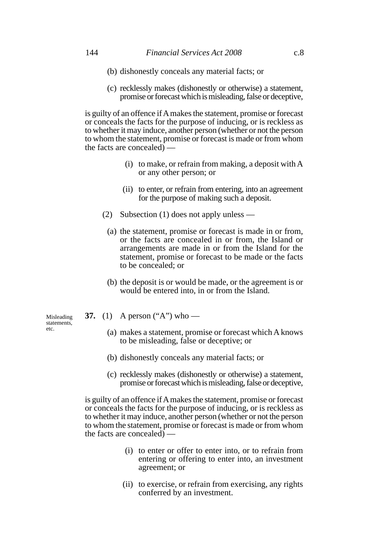- (b) dishonestly conceals any material facts; or
- (c) recklessly makes (dishonestly or otherwise) a statement, promise or forecast which is misleading, false or deceptive,

is guilty of an offence if A makes the statement, promise or forecast or conceals the facts for the purpose of inducing, or is reckless as to whether it may induce, another person (whether or not the person to whom the statement, promise or forecast is made or from whom the facts are concealed)  $\overline{\phantom{a}}$ 

- (i) to make, or refrain from making, a deposit with A or any other person; or
- (ii) to enter, or refrain from entering, into an agreement for the purpose of making such a deposit.
- (2) Subsection (1) does not apply unless
	- (a) the statement, promise or forecast is made in or from, or the facts are concealed in or from, the Island or arrangements are made in or from the Island for the statement, promise or forecast to be made or the facts to be concealed; or
	- (b) the deposit is or would be made, or the agreement is or would be entered into, in or from the Island.

**37.** (1) A person ("A") who —

- (a) makes a statement, promise or forecast which A knows to be misleading, false or deceptive; or
- (b) dishonestly conceals any material facts; or
- (c) recklessly makes (dishonestly or otherwise) a statement, promise or forecast which is misleading, false or deceptive,

is guilty of an offence if A makes the statement, promise or forecast or conceals the facts for the purpose of inducing, or is reckless as to whether it may induce, another person (whether or not the person to whom the statement, promise or forecast is made or from whom the facts are concealed) —

- (i) to enter or offer to enter into, or to refrain from entering or offering to enter into, an investment agreement; or
- (ii) to exercise, or refrain from exercising, any rights conferred by an investment.

Misleading statements, etc.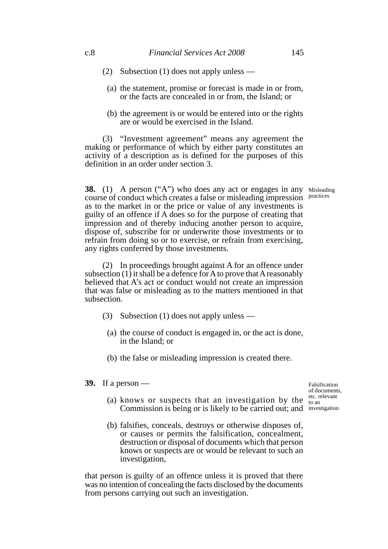- (2) Subsection (1) does not apply unless
	- (a) the statement, promise or forecast is made in or from, or the facts are concealed in or from, the Island; or
	- (b) the agreement is or would be entered into or the rights are or would be exercised in the Island.

(3) "Investment agreement" means any agreement the making or performance of which by either party constitutes an activity of a description as is defined for the purposes of this definition in an order under section 3.

**38.** (1) A person ("A") who does any act or engages in any Misleading course of conduct which creates a false or misleading impression as to the market in or the price or value of any investments is guilty of an offence if A does so for the purpose of creating that impression and of thereby inducing another person to acquire, dispose of, subscribe for or underwrite those investments or to refrain from doing so or to exercise, or refrain from exercising, any rights conferred by those investments.

(2) In proceedings brought against A for an offence under subsection  $(1)$  it shall be a defence for A to prove that A reasonably believed that A's act or conduct would not create an impression that was false or misleading as to the matters mentioned in that subsection.

- (3) Subsection (1) does not apply unless
	- (a) the course of conduct is engaged in, or the act is done, in the Island; or
	- (b) the false or misleading impression is created there.
- **39.** If a person —

Falsification of documents, etc. relevant to an

- (a) knows or suspects that an investigation by the Commission is being or is likely to be carried out; and investigation
- (b) falsifies, conceals, destroys or otherwise disposes of, or causes or permits the falsification, concealment, destruction or disposal of documents which that person knows or suspects are or would be relevant to such an investigation,

that person is guilty of an offence unless it is proved that there was no intention of concealing the facts disclosed by the documents from persons carrying out such an investigation.

practices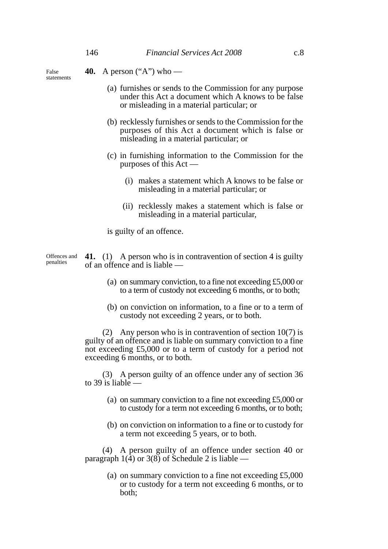False statements

- **40.** A person ("A") who
	- (a) furnishes or sends to the Commission for any purpose under this Act a document which A knows to be false or misleading in a material particular; or
	- (b) recklessly furnishes or sends to the Commission for the purposes of this Act a document which is false or misleading in a material particular; or
	- (c) in furnishing information to the Commission for the purposes of this Act —
		- (i) makes a statement which A knows to be false or misleading in a material particular; or
		- (ii) recklessly makes a statement which is false or misleading in a material particular,

is guilty of an offence.

| penalties |  |                                 | Offences and $\left( \begin{array}{cc} 41. \end{array} \right)$ A person who is in contravention of section 4 is guilty |  |
|-----------|--|---------------------------------|-------------------------------------------------------------------------------------------------------------------------|--|
|           |  | of an offence and is liable $-$ |                                                                                                                         |  |

- (a) on summary conviction, to a fine not exceeding £5,000 or to a term of custody not exceeding 6 months, or to both;
- (b) on conviction on information, to a fine or to a term of custody not exceeding 2 years, or to both.

(2) Any person who is in contravention of section 10(7) is guilty of an offence and is liable on summary conviction to a fine not exceeding £5,000 or to a term of custody for a period not exceeding 6 months, or to both.

(3) A person guilty of an offence under any of section 36 to 39 is liable  $-$ 

- (a) on summary conviction to a fine not exceeding £5,000 or to custody for a term not exceeding 6 months, or to both;
- (b) on conviction on information to a fine or to custody for a term not exceeding 5 years, or to both.

(4) A person guilty of an offence under section 40 or paragraph 1(4) or 3(8) of Schedule 2 is liable —

> (a) on summary conviction to a fine not exceeding £5,000 or to custody for a term not exceeding 6 months, or to both;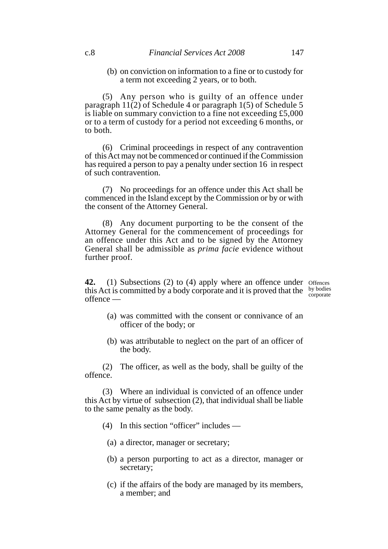(b) on conviction on information to a fine or to custody for a term not exceeding 2 years, or to both.

(5) Any person who is guilty of an offence under paragraph  $11(2)$  of Schedule 4 or paragraph 1(5) of Schedule 5 is liable on summary conviction to a fine not exceeding £5,000 or to a term of custody for a period not exceeding 6 months, or to both.

(6) Criminal proceedings in respect of any contravention of this Act may not be commenced or continued if the Commission has required a person to pay a penalty under section 16 in respect of such contravention.

(7) No proceedings for an offence under this Act shall be commenced in the Island except by the Commission or by or with the consent of the Attorney General.

(8) Any document purporting to be the consent of the Attorney General for the commencement of proceedings for an offence under this Act and to be signed by the Attorney General shall be admissible as *prima facie* evidence without further proof.

**42.** (1) Subsections (2) to (4) apply where an offence under offences this Act is committed by a body corporate and it is proved that the by bodies offence corporate

- (a) was committed with the consent or connivance of an officer of the body; or
- (b) was attributable to neglect on the part of an officer of the body.

(2) The officer, as well as the body, shall be guilty of the offence.

(3) Where an individual is convicted of an offence under this Act by virtue of subsection (2), that individual shall be liable to the same penalty as the body.

- (4) In this section "officer" includes
	- (a) a director, manager or secretary;
	- (b) a person purporting to act as a director, manager or secretary;
	- (c) if the affairs of the body are managed by its members, a member; and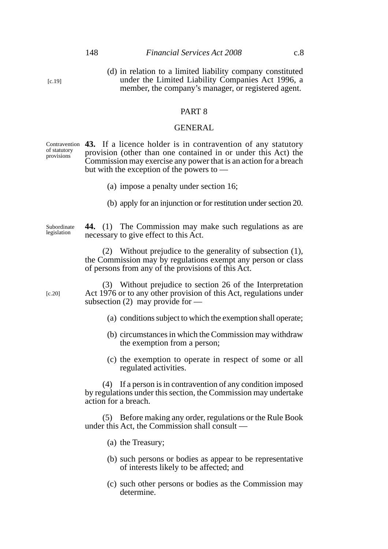(d) in relation to a limited liability company constituted under the Limited Liability Companies Act 1996, a member, the company's manager, or registered agent.

#### PART 8

#### GENERAL

Contravention **43.** If a licence holder is in contravention of any statutory provision (other than one contained in or under this Act) the Commission may exercise any power that is an action for a breach but with the exception of the powers to of statutory provisions

- (a) impose a penalty under section 16;
- (b) apply for an injunction or for restitution under section 20.

**44.** (1) The Commission may make such regulations as are necessary to give effect to this Act. Subordinate legislation

> (2) Without prejudice to the generality of subsection (1), the Commission may by regulations exempt any person or class of persons from any of the provisions of this Act.

(3) Without prejudice to section 26 of the Interpretation Act 1976 or to any other provision of this Act, regulations under subsection (2) may provide for  $-$ 

- (a) conditions subject to which the exemption shall operate;
- (b) circumstances in which the Commission may withdraw the exemption from a person;
- (c) the exemption to operate in respect of some or all regulated activities.

(4) If a person is in contravention of any condition imposed by regulations under this section, the Commission may undertake action for a breach.

(5) Before making any order, regulations or the Rule Book under this Act, the Commission shall consult —

- (a) the Treasury;
- (b) such persons or bodies as appear to be representative of interests likely to be affected; and
- (c) such other persons or bodies as the Commission may determine.

[c.19]

[c.20]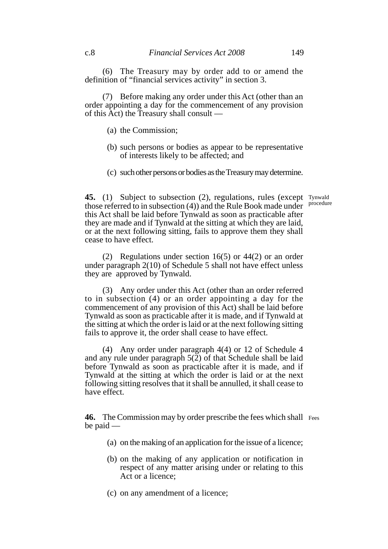(6) The Treasury may by order add to or amend the definition of "financial services activity" in section 3.

(7) Before making any order under this Act (other than an order appointing a day for the commencement of any provision of this Act) the Treasury shall consult —

- (a) the Commission;
- (b) such persons or bodies as appear to be representative of interests likely to be affected; and
- (c) such other persons or bodies as the Treasury may determine.

**45.** (1) Subject to subsection (2), regulations, rules (except Tynwald those referred to in subsection (4)) and the Rule Book made under this Act shall be laid before Tynwald as soon as practicable after they are made and if Tynwald at the sitting at which they are laid, or at the next following sitting, fails to approve them they shall cease to have effect. procedure

(2) Regulations under section 16(5) or 44(2) or an order under paragraph 2(10) of Schedule 5 shall not have effect unless they are approved by Tynwald.

(3) Any order under this Act (other than an order referred to in subsection (4) or an order appointing a day for the commencement of any provision of this Act) shall be laid before Tynwald as soon as practicable after it is made, and if Tynwald at the sitting at which the order is laid or at the next following sitting fails to approve it, the order shall cease to have effect.

(4) Any order under paragraph 4(4) or 12 of Schedule 4 and any rule under paragraph  $5(2)$  of that Schedule shall be laid before Tynwald as soon as practicable after it is made, and if Tynwald at the sitting at which the order is laid or at the next following sitting resolves that it shall be annulled, it shall cease to have effect.

46. The Commission may by order prescribe the fees which shall Fees be paid —

- (a) on the making of an application for the issue of a licence;
- (b) on the making of any application or notification in respect of any matter arising under or relating to this Act or a licence;
- (c) on any amendment of a licence;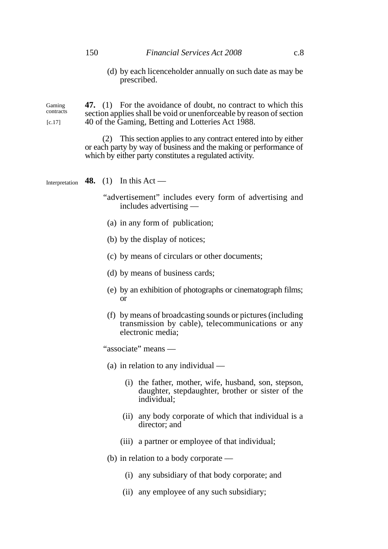(d) by each licenceholder annually on such date as may be prescribed.

Gaming contracts  $[c.17]$ 

**47.** (1) For the avoidance of doubt, no contract to which this section applies shall be void or unenforceable by reason of section 40 of the Gaming, Betting and Lotteries Act 1988.

(2) This section applies to any contract entered into by either or each party by way of business and the making or performance of which by either party constitutes a regulated activity.

**48.** (1) In this Act — Interpretation

- "advertisement" includes every form of advertising and includes advertising —
	- (a) in any form of publication;
	- (b) by the display of notices;
- (c) by means of circulars or other documents;
- (d) by means of business cards;
- (e) by an exhibition of photographs or cinematograph films; or
- (f) by means of broadcasting sounds or pictures (including transmission by cable), telecommunications or any electronic media;

"associate" means —

- (a) in relation to any individual
	- (i) the father, mother, wife, husband, son, stepson, daughter, stepdaughter, brother or sister of the individual;
	- (ii) any body corporate of which that individual is a director; and
	- (iii) a partner or employee of that individual;
- (b) in relation to a body corporate
	- (i) any subsidiary of that body corporate; and
	- (ii) any employee of any such subsidiary;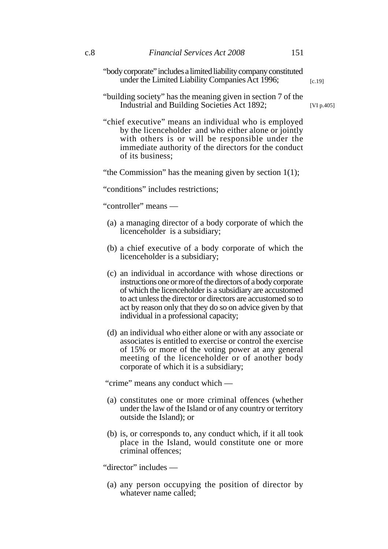"body corporate" includes a limited liability company constituted under the Limited Liability Companies Act 1996;

[c.19]

"building society" has the meaning given in section 7 of the Industrial and Building Societies Act 1892;

[VI p.405]

"chief executive" means an individual who is employed by the licenceholder and who either alone or jointly with others is or will be responsible under the immediate authority of the directors for the conduct of its business;

"the Commission" has the meaning given by section  $1(1)$ ;

"conditions" includes restrictions;

"controller" means —

- (a) a managing director of a body corporate of which the licenceholder is a subsidiary;
- (b) a chief executive of a body corporate of which the licenceholder is a subsidiary;
- (c) an individual in accordance with whose directions or instructions one or more of the directors of a body corporate of which the licenceholder is a subsidiary are accustomed to act unless the director or directors are accustomed so to act by reason only that they do so on advice given by that individual in a professional capacity;
- (d) an individual who either alone or with any associate or associates is entitled to exercise or control the exercise of 15% or more of the voting power at any general meeting of the licenceholder or of another body corporate of which it is a subsidiary;

"crime" means any conduct which —

- (a) constitutes one or more criminal offences (whether under the law of the Island or of any country or territory outside the Island); or
- (b) is, or corresponds to, any conduct which, if it all took place in the Island, would constitute one or more criminal offences;

"director" includes —

(a) any person occupying the position of director by whatever name called;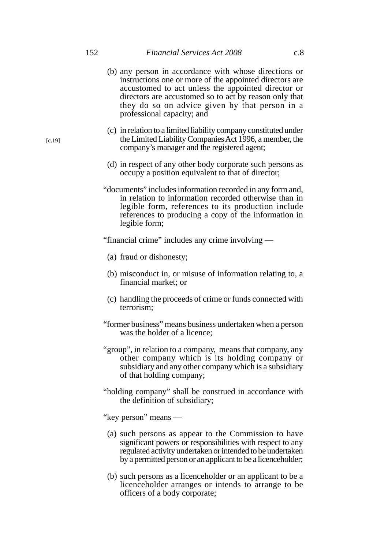- (b) any person in accordance with whose directions or instructions one or more of the appointed directors are accustomed to act unless the appointed director or directors are accustomed so to act by reason only that they do so on advice given by that person in a professional capacity; and
- (c) in relation to a limited liability company constituted under the Limited Liability Companies Act 1996, a member, the company's manager and the registered agent;
- (d) in respect of any other body corporate such persons as occupy a position equivalent to that of director;
- "documents" includes information recorded in any form and, in relation to information recorded otherwise than in legible form, references to its production include references to producing a copy of the information in legible form;

"financial crime" includes any crime involving —

- (a) fraud or dishonesty;
- (b) misconduct in, or misuse of information relating to, a financial market; or
- (c) handling the proceeds of crime or funds connected with terrorism;
- "former business" means business undertaken when a person was the holder of a licence;
- "group", in relation to a company, means that company, any other company which is its holding company or subsidiary and any other company which is a subsidiary of that holding company;
- "holding company" shall be construed in accordance with the definition of subsidiary;
- "key person" means
	- (a) such persons as appear to the Commission to have significant powers or responsibilities with respect to any regulated activity undertaken or intended to be undertaken by a permitted person or an applicant to be a licenceholder;
	- (b) such persons as a licenceholder or an applicant to be a licenceholder arranges or intends to arrange to be officers of a body corporate;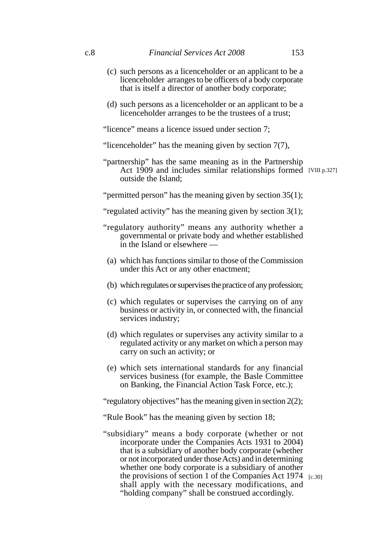- (c) such persons as a licenceholder or an applicant to be a licenceholder arranges to be officers of a body corporate that is itself a director of another body corporate;
- (d) such persons as a licenceholder or an applicant to be a licenceholder arranges to be the trustees of a trust;

"licence" means a licence issued under section 7;

"licenceholder" has the meaning given by section 7(7),

"partnership" has the same meaning as in the Partnership Act 1909 and includes similar relationships formed [VIII p.327] outside the Island;

"permitted person" has the meaning given by section 35(1);

"regulated activity" has the meaning given by section 3(1);

- "regulatory authority" means any authority whether a governmental or private body and whether established in the Island or elsewhere —
	- (a) which has functions similar to those of the Commission under this Act or any other enactment;
	- (b) which regulates or supervises the practice of any profession;
- (c) which regulates or supervises the carrying on of any business or activity in, or connected with, the financial services industry;
- (d) which regulates or supervises any activity similar to a regulated activity or any market on which a person may carry on such an activity; or
- (e) which sets international standards for any financial services business (for example, the Basle Committee on Banking, the Financial Action Task Force, etc.);

"regulatory objectives" has the meaning given in section 2(2);

"Rule Book" has the meaning given by section 18;

"subsidiary" means a body corporate (whether or not incorporate under the Companies Acts 1931 to 2004) that is a subsidiary of another body corporate (whether or not incorporated under those Acts) and in determining whether one body corporate is a subsidiary of another the provisions of section 1 of the Companies Act 1974 [c.30]shall apply with the necessary modifications, and "holding company" shall be construed accordingly.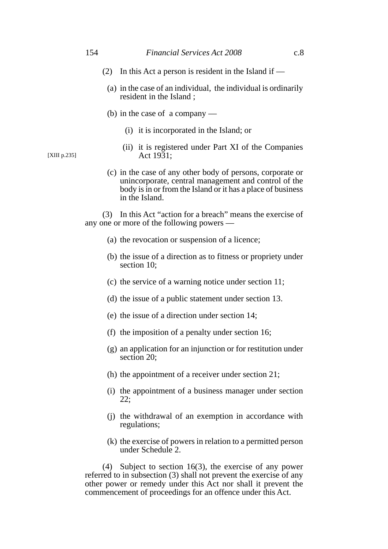- (2) In this Act a person is resident in the Island if  $-$ 
	- (a) in the case of an individual, the individual is ordinarily resident in the Island ;
	- (b) in the case of a company
		- (i) it is incorporated in the Island; or
		- (ii) it is registered under Part XI of the Companies Act 1931;
	- (c) in the case of any other body of persons, corporate or unincorporate, central management and control of the body is in or from the Island or it has a place of business in the Island.

(3) In this Act "action for a breach" means the exercise of any one or more of the following powers —

- (a) the revocation or suspension of a licence;
- (b) the issue of a direction as to fitness or propriety under section 10;
- (c) the service of a warning notice under section 11;
- (d) the issue of a public statement under section 13.
- (e) the issue of a direction under section 14;
- (f) the imposition of a penalty under section 16;
- (g) an application for an injunction or for restitution under section 20;
- (h) the appointment of a receiver under section 21;
- (i) the appointment of a business manager under section 22;
- (j) the withdrawal of an exemption in accordance with regulations;
- (k) the exercise of powers in relation to a permitted person under Schedule 2.

(4) Subject to section 16(3), the exercise of any power referred to in subsection (3) shall not prevent the exercise of any other power or remedy under this Act nor shall it prevent the commencement of proceedings for an offence under this Act.

[XIII p.235]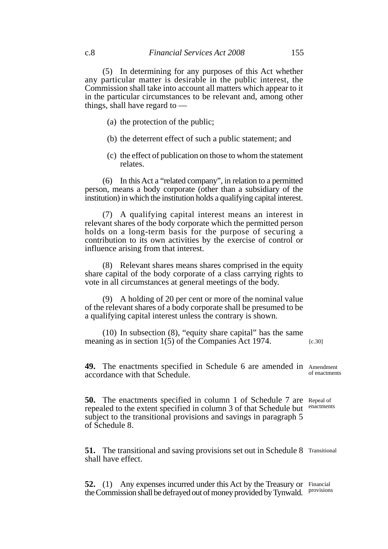(5) In determining for any purposes of this Act whether any particular matter is desirable in the public interest, the Commission shall take into account all matters which appear to it in the particular circumstances to be relevant and, among other things, shall have regard to —

- (a) the protection of the public;
- (b) the deterrent effect of such a public statement; and
- (c) the effect of publication on those to whom the statement relates.

(6) In this Act a "related company", in relation to a permitted person, means a body corporate (other than a subsidiary of the institution) in which the institution holds a qualifying capital interest.

(7) A qualifying capital interest means an interest in relevant shares of the body corporate which the permitted person holds on a long-term basis for the purpose of securing a contribution to its own activities by the exercise of control or influence arising from that interest.

(8) Relevant shares means shares comprised in the equity share capital of the body corporate of a class carrying rights to vote in all circumstances at general meetings of the body.

(9) A holding of 20 per cent or more of the nominal value of the relevant shares of a body corporate shall be presumed to be a qualifying capital interest unless the contrary is shown.

(10) In subsection (8), "equity share capital" has the same meaning as in section 1(5) of the Companies Act 1974. [c.30]

**49.** The enactments specified in Schedule 6 are amended in Amendment accordance with that Schedule. of enactments

**50.** The enactments specified in column 1 of Schedule 7 are Repeal of repealed to the extent specified in column 3 of that Schedule but subject to the transitional provisions and savings in paragraph 5 of Schedule 8.

**51.** The transitional and saving provisions set out in Schedule 8 Transitional shall have effect.

**52.** (1) Any expenses incurred under this Act by the Treasury or Financial the Commission shall be defrayed out of money provided by Tynwald. Provisions

enactments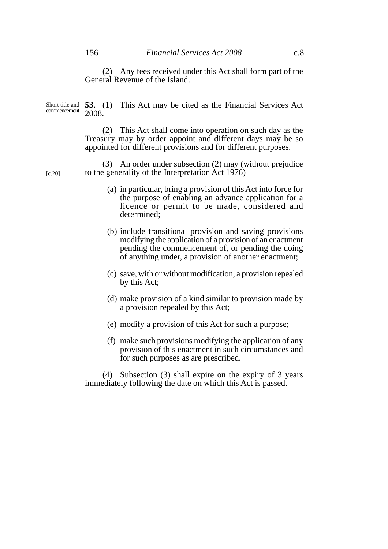[c.20]

Short title and 53. (1) This Act may be cited as the Financial Services Act 2008. commencement

> (2) This Act shall come into operation on such day as the Treasury may by order appoint and different days may be so appointed for different provisions and for different purposes.

(3) An order under subsection (2) may (without prejudice to the generality of the Interpretation  $\text{Act} 1976$  —

- (a) in particular, bring a provision of this Act into force for the purpose of enabling an advance application for a licence or permit to be made, considered and determined;
- (b) include transitional provision and saving provisions modifying the application of a provision of an enactment pending the commencement of, or pending the doing of anything under, a provision of another enactment;
- (c) save, with or without modification, a provision repealed by this Act;
- (d) make provision of a kind similar to provision made by a provision repealed by this Act;
- (e) modify a provision of this Act for such a purpose;
- (f) make such provisions modifying the application of any provision of this enactment in such circumstances and for such purposes as are prescribed.

(4) Subsection (3) shall expire on the expiry of 3 years immediately following the date on which this Act is passed.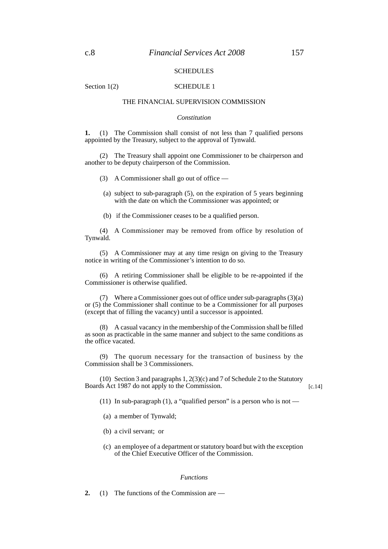#### **SCHEDULES**

Section 1(2) SCHEDULE 1

# THE FINANCIAL SUPERVISION COMMISSION

### *Constitution*

**1.** (1) The Commission shall consist of not less than 7 qualified persons appointed by the Treasury, subject to the approval of Tynwald.

(2) The Treasury shall appoint one Commissioner to be chairperson and another to be deputy chairperson of the Commission.

(3) A Commissioner shall go out of office —

- (a) subject to sub-paragraph (5), on the expiration of 5 years beginning with the date on which the Commissioner was appointed; or
- (b) if the Commissioner ceases to be a qualified person.

(4) A Commissioner may be removed from office by resolution of Tynwald.

(5) A Commissioner may at any time resign on giving to the Treasury notice in writing of the Commissioner's intention to do so.

(6) A retiring Commissioner shall be eligible to be re-appointed if the Commissioner is otherwise qualified.

(7) Where a Commissioner goes out of office under sub-paragraphs (3)(a) or (5) the Commissioner shall continue to be a Commissioner for all purposes (except that of filling the vacancy) until a successor is appointed.

(8) A casual vacancy in the membership of the Commission shall be filled as soon as practicable in the same manner and subject to the same conditions as the office vacated.

(9) The quorum necessary for the transaction of business by the Commission shall be 3 Commissioners.

(10) Section 3 and paragraphs 1, 2(3)(c) and 7 of Schedule 2 to the Statutory Boards Act 1987 do not apply to the Commission.

 $[c.14]$ 

- (11) In sub-paragraph (1), a "qualified person" is a person who is not
	- (a) a member of Tynwald;
	- (b) a civil servant; or
	- (c) an employee of a department or statutory board but with the exception of the Chief Executive Officer of the Commission.

#### *Functions*

**2.** (1) The functions of the Commission are —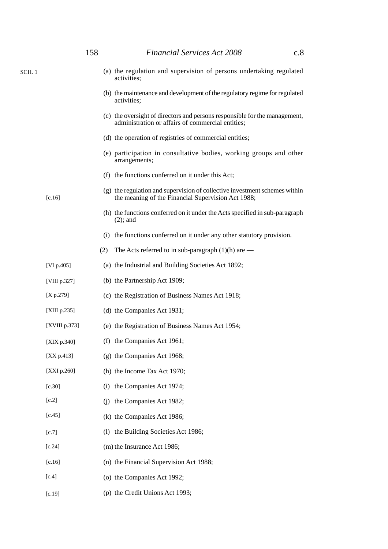|        |                 | 158 | <b>Financial Services Act 2008</b><br>c.8                                                                                        |
|--------|-----------------|-----|----------------------------------------------------------------------------------------------------------------------------------|
| SCH. 1 |                 |     | (a) the regulation and supervision of persons undertaking regulated<br>activities;                                               |
|        |                 |     | (b) the maintenance and development of the regulatory regime for regulated<br>activities;                                        |
|        |                 |     | (c) the oversight of directors and persons responsible for the management,<br>administration or affairs of commercial entities;  |
|        |                 |     | (d) the operation of registries of commercial entities;                                                                          |
|        |                 |     | (e) participation in consultative bodies, working groups and other<br>arrangements;                                              |
|        |                 |     | (f) the functions conferred on it under this Act;                                                                                |
|        | $[c.16]$        |     | (g) the regulation and supervision of collective investment schemes within<br>the meaning of the Financial Supervision Act 1988; |
|        |                 |     | (h) the functions conferred on it under the Acts specified in sub-paragraph<br>$(2)$ ; and                                       |
|        |                 |     | (i) the functions conferred on it under any other statutory provision.                                                           |
|        |                 | (2) | The Acts referred to in sub-paragraph $(1)(h)$ are —                                                                             |
|        | [VI p.405]      |     | (a) the Industrial and Building Societies Act 1892;                                                                              |
|        | [VIII p.327]    |     | (b) the Partnership Act 1909;                                                                                                    |
|        | [X p.279]       |     | (c) the Registration of Business Names Act 1918;                                                                                 |
|        | [XIII p.235]    |     | (d) the Companies Act 1931;                                                                                                      |
|        | [XVIII p.373]   |     | (e) the Registration of Business Names Act 1954;                                                                                 |
|        | [XIX p.340]     |     | (f) the Companies Act 1961;                                                                                                      |
|        | $[XX p.413]$    |     | (g) the Companies Act 1968;                                                                                                      |
|        | [ $XXI p.260$ ] |     | (h) the Income Tax Act 1970;                                                                                                     |
|        | $[c.30]$        | (i) | the Companies Act 1974;                                                                                                          |
|        | [c.2]           | (i) | the Companies Act 1982;                                                                                                          |
|        | $[c.45]$        |     | (k) the Companies Act 1986;                                                                                                      |
|        | [c.7]           | (1) | the Building Societies Act 1986;                                                                                                 |
|        | $[c.24]$        |     | (m) the Insurance Act 1986;                                                                                                      |
|        | $[c.16]$        |     | (n) the Financial Supervision Act 1988;                                                                                          |
|        | [c.4]           |     | (o) the Companies Act 1992;                                                                                                      |
|        | $[c.19]$        |     | (p) the Credit Unions Act 1993;                                                                                                  |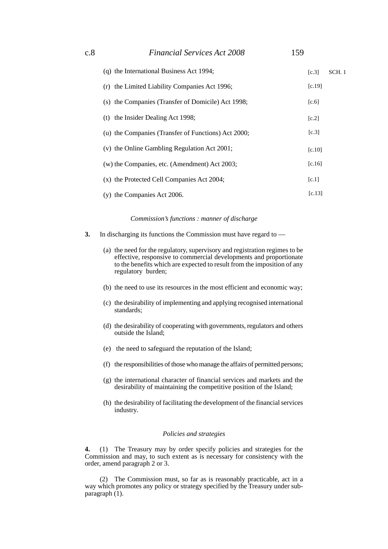| (q) the International Business Act 1994;            | [c.3]  | SCH. 1 |
|-----------------------------------------------------|--------|--------|
| the Limited Liability Companies Act 1996;<br>(r)    | [c.19] |        |
| (s) the Companies (Transfer of Domicile) Act 1998;  | [c.6]  |        |
| (t) the Insider Dealing Act 1998;                   | [c.2]  |        |
| (u) the Companies (Transfer of Functions) Act 2000; | [c.3]  |        |
| (v) the Online Gambling Regulation Act 2001;        | [c.10] |        |
| $(w)$ the Companies, etc. (Amendment) Act 2003;     | [c.16] |        |
| (x) the Protected Cell Companies Act 2004;          | [c.1]  |        |
| (y) the Companies Act 2006.                         | [c.13] |        |

*Commission's functions : manner of discharge*

- **3.** In discharging its functions the Commission must have regard to
	- (a) the need for the regulatory, supervisory and registration regimes to be effective, responsive to commercial developments and proportionate to the benefits which are expected to result from the imposition of any regulatory burden;
	- (b) the need to use its resources in the most efficient and economic way;
	- (c) the desirability of implementing and applying recognised international standards;
	- (d) the desirability of cooperating with governments, regulators and others outside the Island;
	- (e) the need to safeguard the reputation of the Island;
	- (f) the responsibilities of those who manage the affairs of permitted persons;
	- (g) the international character of financial services and markets and the desirability of maintaining the competitive position of the Island;
	- (h) the desirability of facilitating the development of the financial services industry.

### *Policies and strategies*

**4.** (1) The Treasury may by order specify policies and strategies for the Commission and may, to such extent as is necessary for consistency with the order, amend paragraph 2 or 3.

(2) The Commission must, so far as is reasonably practicable, act in a way which promotes any policy or strategy specified by the Treasury under subparagraph  $(1)$ .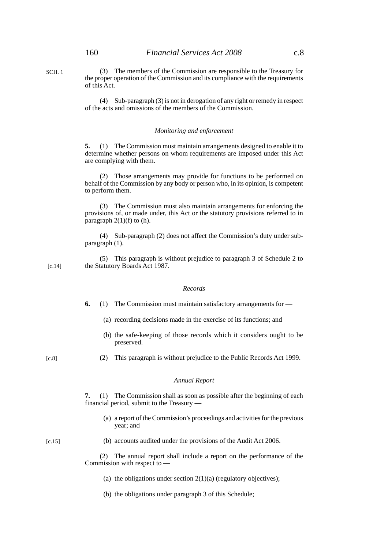SCH. 1

(3) The members of the Commission are responsible to the Treasury for the proper operation of the Commission and its compliance with the requirements of this Act.

(4) Sub-paragraph (3) is not in derogation of any right or remedy in respect of the acts and omissions of the members of the Commission.

#### *Monitoring and enforcement*

**5.** (1) The Commission must maintain arrangements designed to enable it to determine whether persons on whom requirements are imposed under this Act are complying with them.

(2) Those arrangements may provide for functions to be performed on behalf of the Commission by any body or person who, in its opinion, is competent to perform them.

(3) The Commission must also maintain arrangements for enforcing the provisions of, or made under, this Act or the statutory provisions referred to in paragraph  $2(1)(f)$  to (h).

(4) Sub-paragraph (2) does not affect the Commission's duty under subparagraph (1).

(5) This paragraph is without prejudice to paragraph 3 of Schedule 2 to the Statutory Boards Act 1987. [c.14]

#### *Records*

- **6.** (1) The Commission must maintain satisfactory arrangements for
	- (a) recording decisions made in the exercise of its functions; and
	- (b) the safe-keeping of those records which it considers ought to be preserved.

[c.8]

(2) This paragraph is without prejudice to the Public Records Act 1999.

#### *Annual Report*

**7.** (1) The Commission shall as soon as possible after the beginning of each financial period, submit to the Treasury —

(a) a report of the Commission's proceedings and activities for the previous year; and

#### $[c.15]$

(b) accounts audited under the provisions of the Audit Act 2006.

(2) The annual report shall include a report on the performance of the Commission with respect to —

- (a) the obligations under section  $2(1)(a)$  (regulatory objectives);
- (b) the obligations under paragraph 3 of this Schedule;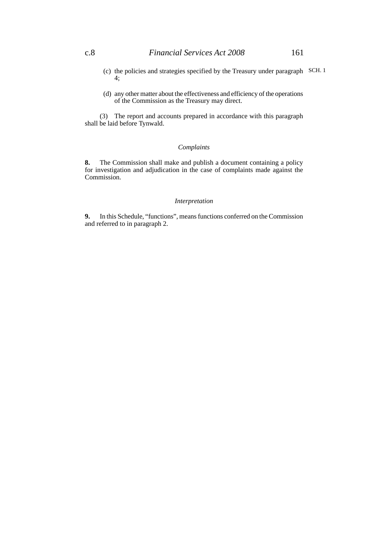- (c) the policies and strategies specified by the Treasury under paragraph SCH. 14;
- (d) any other matter about the effectiveness and efficiency of the operations of the Commission as the Treasury may direct.

(3) The report and accounts prepared in accordance with this paragraph shall be laid before Tynwald.

## *Complaints*

**8.** The Commission shall make and publish a document containing a policy for investigation and adjudication in the case of complaints made against the Commission.

#### *Interpretation*

**9.** In this Schedule, "functions", means functions conferred on the Commission and referred to in paragraph 2.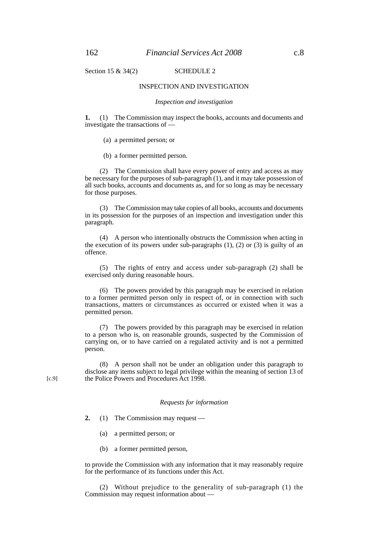Section 15  $\&$  34(2) SCHEDULE 2

#### INSPECTION AND INVESTIGATION

#### *Inspection and investigation*

**1.** (1) The Commission may inspect the books, accounts and documents and investigate the transactions of —

(a) a permitted person; or

(b) a former permitted person.

(2) The Commission shall have every power of entry and access as may be necessary for the purposes of sub-paragraph (1), and it may take possession of all such books, accounts and documents as, and for so long as may be necessary for those purposes.

(3) The Commission may take copies of all books, accounts and documents in its possession for the purposes of an inspection and investigation under this paragraph.

(4) A person who intentionally obstructs the Commission when acting in the execution of its powers under sub-paragraphs (1), (2) or (3) is guilty of an offence.

(5) The rights of entry and access under sub-paragraph (2) shall be exercised only during reasonable hours.

(6) The powers provided by this paragraph may be exercised in relation to a former permitted person only in respect of, or in connection with such transactions, matters or circumstances as occurred or existed when it was a permitted person.

(7) The powers provided by this paragraph may be exercised in relation to a person who is, on reasonable grounds, suspected by the Commission of carrying on, or to have carried on a regulated activity and is not a permitted person.

(8) A person shall not be under an obligation under this paragraph to disclose any items subject to legal privilege within the meaning of section 13 of the Police Powers and Procedures Act 1998.

#### *Requests for information*

**2.** (1) The Commission may request —

- (a) a permitted person; or
- (b) a former permitted person,

to provide the Commission with any information that it may reasonably require for the performance of its functions under this Act.

(2) Without prejudice to the generality of sub-paragraph (1) the Commission may request information about —

[c.9]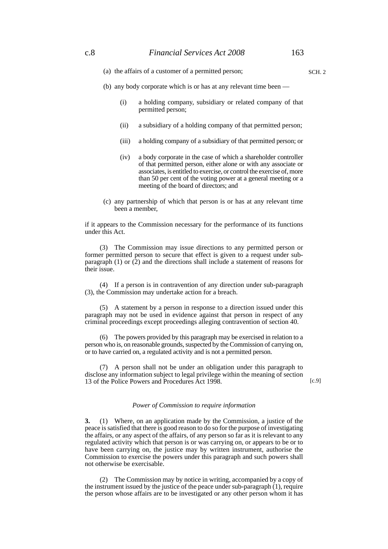(a) the affairs of a customer of a permitted person;

- (b) any body corporate which is or has at any relevant time been
	- (i) a holding company, subsidiary or related company of that permitted person;
	- (ii) a subsidiary of a holding company of that permitted person;
	- (iii) a holding company of a subsidiary of that permitted person; or
	- (iv) a body corporate in the case of which a shareholder controller of that permitted person, either alone or with any associate or associates, is entitled to exercise, or control the exercise of, more than 50 per cent of the voting power at a general meeting or a meeting of the board of directors; and
- (c) any partnership of which that person is or has at any relevant time been a member,

if it appears to the Commission necessary for the performance of its functions under this Act.

(3) The Commission may issue directions to any permitted person or former permitted person to secure that effect is given to a request under subparagraph (1) or (2) and the directions shall include a statement of reasons for their issue.

(4) If a person is in contravention of any direction under sub-paragraph (3), the Commission may undertake action for a breach.

(5) A statement by a person in response to a direction issued under this paragraph may not be used in evidence against that person in respect of any criminal proceedings except proceedings alleging contravention of section 40.

(6) The powers provided by this paragraph may be exercised in relation to a person who is, on reasonable grounds, suspected by the Commission of carrying on, or to have carried on, a regulated activity and is not a permitted person.

(7) A person shall not be under an obligation under this paragraph to disclose any information subject to legal privilege within the meaning of section 13 of the Police Powers and Procedures Act 1998.

[c.9]

#### *Power of Commission to require information*

**3.** (1) Where, on an application made by the Commission, a justice of the peace is satisfied that there is good reason to do so for the purpose of investigating the affairs, or any aspect of the affairs, of any person so far as it is relevant to any regulated activity which that person is or was carrying on, or appears to be or to have been carrying on, the justice may by written instrument, authorise the Commission to exercise the powers under this paragraph and such powers shall not otherwise be exercisable.

(2) The Commission may by notice in writing, accompanied by a copy of the instrument issued by the justice of the peace under sub-paragraph (1), require the person whose affairs are to be investigated or any other person whom it has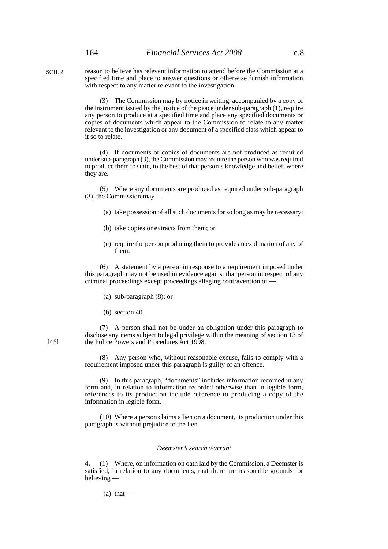reason to believe has relevant information to attend before the Commission at a specified time and place to answer questions or otherwise furnish information with respect to any matter relevant to the investigation. SCH. 2

> (3) The Commission may by notice in writing, accompanied by a copy of the instrument issued by the justice of the peace under sub-paragraph (1), require any person to produce at a specified time and place any specified documents or copies of documents which appear to the Commission to relate to any matter relevant to the investigation or any document of a specified class which appear to it so to relate.

> (4) If documents or copies of documents are not produced as required under sub-paragraph (3), the Commission may require the person who was required to produce them to state, to the best of that person's knowledge and belief, where they are.

> (5) Where any documents are produced as required under sub-paragraph  $(3)$ , the Commission may

- (a) take possession of all such documents for so long as may be necessary;
- (b) take copies or extracts from them; or
- (c) require the person producing them to provide an explanation of any of them.

(6) A statement by a person in response to a requirement imposed under this paragraph may not be used in evidence against that person in respect of any criminal proceedings except proceedings alleging contravention of —

- (a) sub-paragraph (8); or
- (b) section 40.

(7) A person shall not be under an obligation under this paragraph to disclose any items subject to legal privilege within the meaning of section 13 of the Police Powers and Procedures Act 1998.

(8) Any person who, without reasonable excuse, fails to comply with a requirement imposed under this paragraph is guilty of an offence.

(9) In this paragraph, "documents" includes information recorded in any form and, in relation to information recorded otherwise than in legible form, references to its production include reference to producing a copy of the information in legible form.

(10) Where a person claims a lien on a document, its production under this paragraph is without prejudice to the lien.

#### *Deemster's search warrant*

**4.** (1) Where, on information on oath laid by the Commission, a Deemster is satisfied, in relation to any documents, that there are reasonable grounds for believing —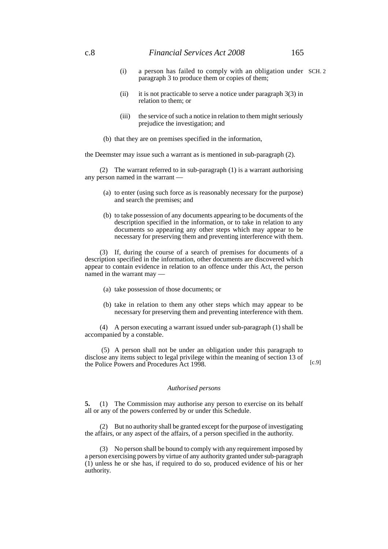- (i) a person has failed to comply with an obligation under SCH. 2paragraph 3 to produce them or copies of them;
- (ii) it is not practicable to serve a notice under paragraph  $3(3)$  in relation to them; or
- (iii) the service of such a notice in relation to them might seriously prejudice the investigation; and
- (b) that they are on premises specified in the information,

the Deemster may issue such a warrant as is mentioned in sub-paragraph (2).

(2) The warrant referred to in sub-paragraph (1) is a warrant authorising any person named in the warrant —

- (a) to enter (using such force as is reasonably necessary for the purpose) and search the premises; and
- (b) to take possession of any documents appearing to be documents of the description specified in the information, or to take in relation to any documents so appearing any other steps which may appear to be necessary for preserving them and preventing interference with them.

(3) If, during the course of a search of premises for documents of a description specified in the information, other documents are discovered which appear to contain evidence in relation to an offence under this Act, the person named in the warrant may —

- (a) take possession of those documents; or
- (b) take in relation to them any other steps which may appear to be necessary for preserving them and preventing interference with them.

(4) A person executing a warrant issued under sub-paragraph (1) shall be accompanied by a constable.

 (5) A person shall not be under an obligation under this paragraph to disclose any items subject to legal privilege within the meaning of section 13 of the Police Powers and Procedures Act 1998.

 $[c.9]$ 

#### *Authorised persons*

**5.** (1) The Commission may authorise any person to exercise on its behalf all or any of the powers conferred by or under this Schedule.

(2) But no authority shall be granted except for the purpose of investigating the affairs, or any aspect of the affairs, of a person specified in the authority.

(3) No person shall be bound to comply with any requirement imposed by a person exercising powers by virtue of any authority granted under sub-paragraph (1) unless he or she has, if required to do so, produced evidence of his or her authority.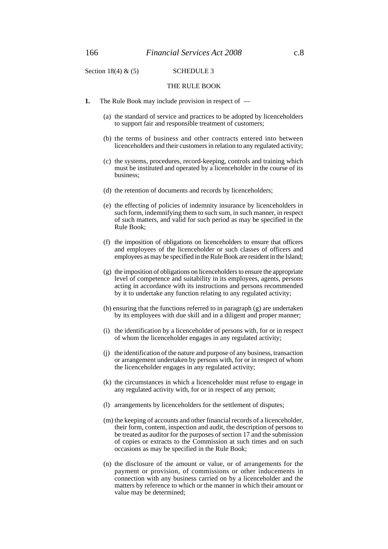Section 18(4)  $\&$  (5) SCHEDULE 3

#### THE RULE BOOK

- **1.** The Rule Book may include provision in respect of
	- (a) the standard of service and practices to be adopted by licenceholders to support fair and responsible treatment of customers;
	- (b) the terms of business and other contracts entered into between licenceholders and their customers in relation to any regulated activity;
	- (c) the systems, procedures, record-keeping, controls and training which must be instituted and operated by a licenceholder in the course of its business;
	- (d) the retention of documents and records by licenceholders;
	- (e) the effecting of policies of indemnity insurance by licenceholders in such form, indemnifying them to such sum, in such manner, in respect of such matters, and valid for such period as may be specified in the Rule Book;
	- (f) the imposition of obligations on licenceholders to ensure that officers and employees of the licenceholder or such classes of officers and employees as may be specified in the Rule Book are resident in the Island;
	- (g) the imposition of obligations on licenceholders to ensure the appropriate level of competence and suitability in its employees, agents, persons acting in accordance with its instructions and persons recommended by it to undertake any function relating to any regulated activity;
	- (h) ensuring that the functions referred to in paragraph (g) are undertaken by its employees with due skill and in a diligent and proper manner;
	- (i) the identification by a licenceholder of persons with, for or in respect of whom the licenceholder engages in any regulated activity;
	- (j) the identification of the nature and purpose of any business, transaction or arrangement undertaken by persons with, for or in respect of whom the licenceholder engages in any regulated activity;
	- (k) the circumstances in which a licenceholder must refuse to engage in any regulated activity with, for or in respect of any person;
	- (l) arrangements by licenceholders for the settlement of disputes;
	- (m) the keeping of accounts and other financial records of a licenceholder, their form, content, inspection and audit, the description of persons to be treated as auditor for the purposes of section 17 and the submission of copies or extracts to the Commission at such times and on such occasions as may be specified in the Rule Book;
	- (n) the disclosure of the amount or value, or of arrangements for the payment or provision, of commissions or other inducements in connection with any business carried on by a licenceholder and the matters by reference to which or the manner in which their amount or value may be determined;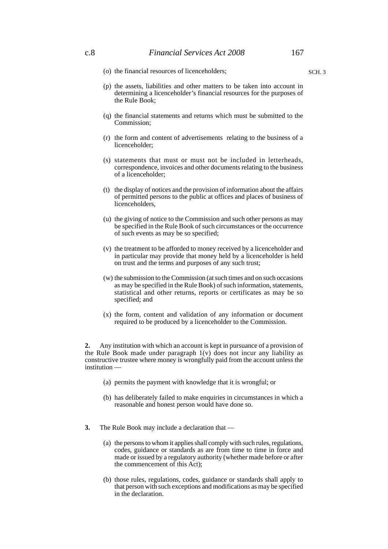(o) the financial resources of licenceholders;

- (p) the assets, liabilities and other matters to be taken into account in determining a licenceholder's financial resources for the purposes of the Rule Book;
- (q) the financial statements and returns which must be submitted to the Commission;
- (r) the form and content of advertisements relating to the business of a licenceholder;
- (s) statements that must or must not be included in letterheads, correspondence, invoices and other documents relating to the business of a licenceholder;
- (t) the display of notices and the provision of information about the affairs of permitted persons to the public at offices and places of business of licenceholders,
- (u) the giving of notice to the Commission and such other persons as may be specified in the Rule Book of such circumstances or the occurrence of such events as may be so specified;
- (v) the treatment to be afforded to money received by a licenceholder and in particular may provide that money held by a licenceholder is held on trust and the terms and purposes of any such trust;
- (w) the submission to the Commission (at such times and on such occasions as may be specified in the Rule Book) of such information, statements, statistical and other returns, reports or certificates as may be so specified; and
- (x) the form, content and validation of any information or document required to be produced by a licenceholder to the Commission.

**2.** Any institution with which an account is kept in pursuance of a provision of the Rule Book made under paragraph 1(v) does not incur any liability as constructive trustee where money is wrongfully paid from the account unless the institution —

- (a) permits the payment with knowledge that it is wrongful; or
- (b) has deliberately failed to make enquiries in circumstances in which a reasonable and honest person would have done so.
- **3.** The Rule Book may include a declaration that
	- (a) the persons to whom it applies shall comply with such rules, regulations, codes, guidance or standards as are from time to time in force and made or issued by a regulatory authority (whether made before or after the commencement of this Act);
	- (b) those rules, regulations, codes, guidance or standards shall apply to that person with such exceptions and modifications as may be specified in the declaration.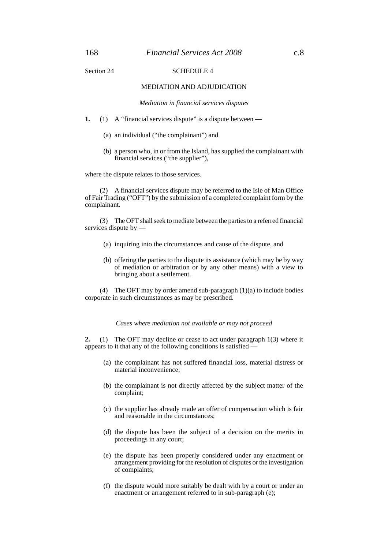### Section 24 SCHEDULE 4

#### MEDIATION AND ADJUDICATION

*Mediation in financial services disputes*

- **1.** (1) A "financial services dispute" is a dispute between
	- (a) an individual ("the complainant") and
	- (b) a person who, in or from the Island, has supplied the complainant with financial services ("the supplier"),

where the dispute relates to those services.

(2) A financial services dispute may be referred to the Isle of Man Office of Fair Trading ("OFT") by the submission of a completed complaint form by the complainant.

(3) The OFT shall seek to mediate between the parties to a referred financial services dispute by —

- (a) inquiring into the circumstances and cause of the dispute, and
- (b) offering the parties to the dispute its assistance (which may be by way of mediation or arbitration or by any other means) with a view to bringing about a settlement.

(4) The OFT may by order amend sub-paragraph (1)(a) to include bodies corporate in such circumstances as may be prescribed.

*Cases where mediation not available or may not proceed*

**2.** (1) The OFT may decline or cease to act under paragraph 1(3) where it appears to it that any of the following conditions is satisfied —

- (a) the complainant has not suffered financial loss, material distress or material inconvenience;
- (b) the complainant is not directly affected by the subject matter of the complaint;
- (c) the supplier has already made an offer of compensation which is fair and reasonable in the circumstances;
- (d) the dispute has been the subject of a decision on the merits in proceedings in any court;
- (e) the dispute has been properly considered under any enactment or arrangement providing for the resolution of disputes or the investigation of complaints;
- (f) the dispute would more suitably be dealt with by a court or under an enactment or arrangement referred to in sub-paragraph (e);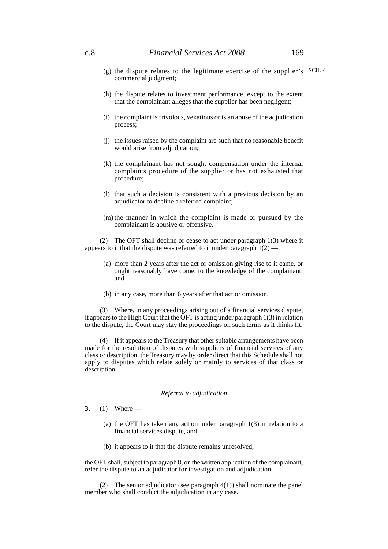# c.8 *Financial Services Act 2008* 169

- (g) the dispute relates to the legitimate exercise of the supplier's SCH. 4commercial judgment;
- (h) the dispute relates to investment performance, except to the extent that the complainant alleges that the supplier has been negligent;
- (i) the complaint is frivolous, vexatious or is an abuse of the adjudication process;
- (j) the issues raised by the complaint are such that no reasonable benefit would arise from adjudication;
- (k) the complainant has not sought compensation under the internal complaints procedure of the supplier or has not exhausted that procedure;
- (l) that such a decision is consistent with a previous decision by an adjudicator to decline a referred complaint;
- (m) the manner in which the complaint is made or pursued by the complainant is abusive or offensive.

(2) The OFT shall decline or cease to act under paragraph 1(3) where it appears to it that the dispute was referred to it under paragraph  $1(2)$  —

- (a) more than 2 years after the act or omission giving rise to it came, or ought reasonably have come, to the knowledge of the complainant; and
- (b) in any case, more than 6 years after that act or omission.

(3) Where, in any proceedings arising out of a financial services dispute, it appears to the High Court that the OFT is acting under paragraph 1(3) in relation to the dispute, the Court may stay the proceedings on such terms as it thinks fit.

(4) If it appears to the Treasury that other suitable arrangements have been made for the resolution of disputes with suppliers of financial services of any class or description, the Treasury may by order direct that this Schedule shall not apply to disputes which relate solely or mainly to services of that class or description.

#### *Referral to adjudication*

- **3.** (1) Where
	- (a) the OFT has taken any action under paragraph 1(3) in relation to a financial services dispute, and
	- (b) it appears to it that the dispute remains unresolved,

the OFT shall, subject to paragraph 8, on the written application of the complainant, refer the dispute to an adjudicator for investigation and adjudication.

(2) The senior adjudicator (see paragraph 4(1)) shall nominate the panel member who shall conduct the adjudication in any case.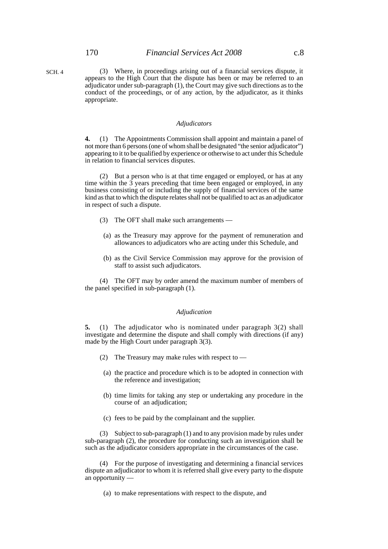SCH. 4

#### *Adjudicators*

**4.** (1) The Appointments Commission shall appoint and maintain a panel of not more than 6 persons (one of whom shall be designated "the senior adjudicator") appearing to it to be qualified by experience or otherwise to act under this Schedule in relation to financial services disputes.

(2) But a person who is at that time engaged or employed, or has at any time within the 3 years preceding that time been engaged or employed, in any business consisting of or including the supply of financial services of the same kind as that to which the dispute relates shall not be qualified to act as an adjudicator in respect of such a dispute.

- (3) The OFT shall make such arrangements —
- (a) as the Treasury may approve for the payment of remuneration and allowances to adjudicators who are acting under this Schedule, and
- (b) as the Civil Service Commission may approve for the provision of staff to assist such adjudicators.

(4) The OFT may by order amend the maximum number of members of the panel specified in sub-paragraph (1).

#### *Adjudication*

**5.** (1) The adjudicator who is nominated under paragraph 3(2) shall investigate and determine the dispute and shall comply with directions (if any) made by the High Court under paragraph 3(3).

- (2) The Treasury may make rules with respect to —
- (a) the practice and procedure which is to be adopted in connection with the reference and investigation;
- (b) time limits for taking any step or undertaking any procedure in the course of an adjudication;
- (c) fees to be paid by the complainant and the supplier.

(3) Subject to sub-paragraph (1) and to any provision made by rules under sub-paragraph (2), the procedure for conducting such an investigation shall be such as the adjudicator considers appropriate in the circumstances of the case.

(4) For the purpose of investigating and determining a financial services dispute an adjudicator to whom it is referred shall give every party to the dispute an opportunity -

(a) to make representations with respect to the dispute, and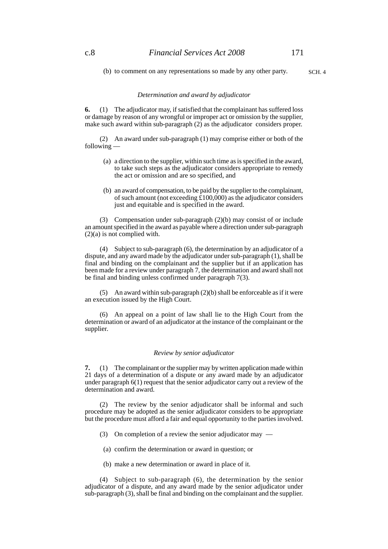(b) to comment on any representations so made by any other party.

# SCH. 4

#### *Determination and award by adjudicator*

**6.** (1) The adjudicator may, if satisfied that the complainant has suffered loss or damage by reason of any wrongful or improper act or omission by the supplier, make such award within sub-paragraph (2) as the adjudicator considers proper.

(2) An award under sub-paragraph (1) may comprise either or both of the following —

- (a) a direction to the supplier, within such time as is specified in the award, to take such steps as the adjudicator considers appropriate to remedy the act or omission and are so specified, and
- (b) an award of compensation, to be paid by the supplier to the complainant, of such amount (not exceeding  $\hat{\pounds}100,000$ ) as the adjudicator considers just and equitable and is specified in the award.

(3) Compensation under sub-paragraph (2)(b) may consist of or include an amount specified in the award as payable where a direction under sub-paragraph (2)(a) is not complied with.

(4) Subject to sub-paragraph (6), the determination by an adjudicator of a dispute, and any award made by the adjudicator under sub-paragraph (1), shall be final and binding on the complainant and the supplier but if an application has been made for a review under paragraph 7, the determination and award shall not be final and binding unless confirmed under paragraph 7(3).

(5) An award within sub-paragraph (2)(b) shall be enforceable as if it were an execution issued by the High Court.

(6) An appeal on a point of law shall lie to the High Court from the determination or award of an adjudicator at the instance of the complainant or the supplier.

#### *Review by senior adjudicator*

**7.** (1) The complainant or the supplier may by written application made within 21 days of a determination of a dispute or any award made by an adjudicator under paragraph 6(1) request that the senior adjudicator carry out a review of the determination and award.

(2) The review by the senior adjudicator shall be informal and such procedure may be adopted as the senior adjudicator considers to be appropriate but the procedure must afford a fair and equal opportunity to the parties involved.

- (3) On completion of a review the senior adjudicator may —
- (a) confirm the determination or award in question; or
- (b) make a new determination or award in place of it.

(4) Subject to sub-paragraph (6), the determination by the senior adjudicator of a dispute, and any award made by the senior adjudicator under sub-paragraph (3), shall be final and binding on the complainant and the supplier.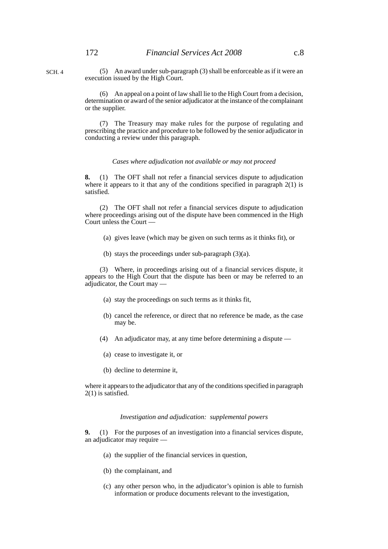SCH. 4

(5) An award under sub-paragraph (3) shall be enforceable as if it were an execution issued by the High Court.

(6) An appeal on a point of law shall lie to the High Court from a decision, determination or award of the senior adjudicator at the instance of the complainant or the supplier.

(7) The Treasury may make rules for the purpose of regulating and prescribing the practice and procedure to be followed by the senior adjudicator in conducting a review under this paragraph.

#### *Cases where adjudication not available or may not proceed*

**8.** (1) The OFT shall not refer a financial services dispute to adjudication where it appears to it that any of the conditions specified in paragraph 2(1) is satisfied.

(2) The OFT shall not refer a financial services dispute to adjudication where proceedings arising out of the dispute have been commenced in the High Court unless the Court —

- (a) gives leave (which may be given on such terms as it thinks fit), or
- (b) stays the proceedings under sub-paragraph (3)(a).

(3) Where, in proceedings arising out of a financial services dispute, it appears to the High Court that the dispute has been or may be referred to an adjudicator, the Court may —

- (a) stay the proceedings on such terms as it thinks fit,
- (b) cancel the reference, or direct that no reference be made, as the case may be.
- (4) An adjudicator may, at any time before determining a dispute —
- (a) cease to investigate it, or
- (b) decline to determine it,

where it appears to the adjudicator that any of the conditions specified in paragraph 2(1) is satisfied.

#### *Investigation and adjudication: supplemental powers*

**9.** (1) For the purposes of an investigation into a financial services dispute, an adjudicator may require —

- (a) the supplier of the financial services in question,
- (b) the complainant, and
- (c) any other person who, in the adjudicator's opinion is able to furnish information or produce documents relevant to the investigation,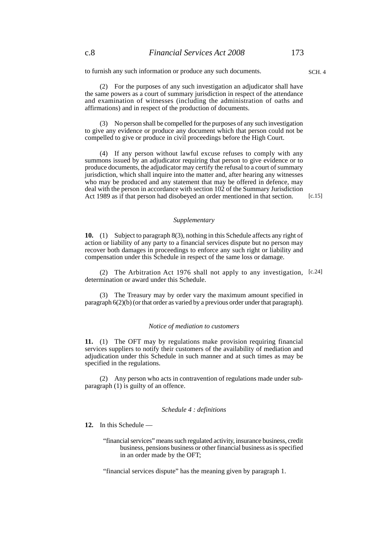to furnish any such information or produce any such documents.

(2) For the purposes of any such investigation an adjudicator shall have the same powers as a court of summary jurisdiction in respect of the attendance and examination of witnesses (including the administration of oaths and affirmations) and in respect of the production of documents.

(3) No person shall be compelled for the purposes of any such investigation to give any evidence or produce any document which that person could not be compelled to give or produce in civil proceedings before the High Court.

(4) If any person without lawful excuse refuses to comply with any summons issued by an adjudicator requiring that person to give evidence or to produce documents, the adjudicator may certify the refusal to a court of summary jurisdiction, which shall inquire into the matter and, after hearing any witnesses who may be produced and any statement that may be offered in defence, may deal with the person in accordance with section 102 of the Summary Jurisdiction Act 1989 as if that person had disobeyed an order mentioned in that section.

[c.15]

#### *Supplementary*

**10.** (1) Subject to paragraph 8(3), nothing in this Schedule affects any right of action or liability of any party to a financial services dispute but no person may recover both damages in proceedings to enforce any such right or liability and compensation under this Schedule in respect of the same loss or damage.

(2) The Arbitration Act 1976 shall not apply to any investigation, [c.24] determination or award under this Schedule.

(3) The Treasury may by order vary the maximum amount specified in paragraph 6(2)(b) (or that order as varied by a previous order under that paragraph).

#### *Notice of mediation to customers*

**11.** (1) The OFT may by regulations make provision requiring financial services suppliers to notify their customers of the availability of mediation and adjudication under this Schedule in such manner and at such times as may be specified in the regulations.

(2) Any person who acts in contravention of regulations made under subparagraph (1) is guilty of an offence.

#### *Schedule 4 : definitions*

**12.** In this Schedule —

"financial services" means such regulated activity, insurance business, credit business, pensions business or other financial business as is specified in an order made by the OFT;

"financial services dispute" has the meaning given by paragraph 1.

SCH. 4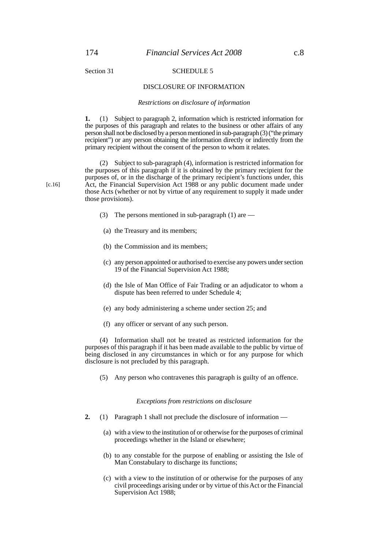# Section 31 SCHEDULE 5

#### DISCLOSURE OF INFORMATION

#### *Restrictions on disclosure of information*

**1.** (1) Subject to paragraph 2, information which is restricted information for the purposes of this paragraph and relates to the business or other affairs of any person shall not be disclosed by a person mentioned in sub-paragraph (3) ("the primary recipient") or any person obtaining the information directly or indirectly from the primary recipient without the consent of the person to whom it relates.

(2) Subject to sub-paragraph (4), information is restricted information for the purposes of this paragraph if it is obtained by the primary recipient for the purposes of, or in the discharge of the primary recipient's functions under, this Act, the Financial Supervision Act 1988 or any public document made under those Acts (whether or not by virtue of any requirement to supply it made under those provisions).

- (3) The persons mentioned in sub-paragraph  $(1)$  are —
- (a) the Treasury and its members;
- (b) the Commission and its members;
- (c) any person appointed or authorised to exercise any powers under section 19 of the Financial Supervision Act 1988;
- (d) the Isle of Man Office of Fair Trading or an adjudicator to whom a dispute has been referred to under Schedule 4;
- (e) any body administering a scheme under section 25; and
- (f) any officer or servant of any such person.

(4) Information shall not be treated as restricted information for the purposes of this paragraph if it has been made available to the public by virtue of being disclosed in any circumstances in which or for any purpose for which disclosure is not precluded by this paragraph.

(5) Any person who contravenes this paragraph is guilty of an offence.

#### *Exceptions from restrictions on disclosure*

- **2.** (1) Paragraph 1 shall not preclude the disclosure of information
	- (a) with a view to the institution of or otherwise for the purposes of criminal proceedings whether in the Island or elsewhere;
	- (b) to any constable for the purpose of enabling or assisting the Isle of Man Constabulary to discharge its functions;
	- (c) with a view to the institution of or otherwise for the purposes of any civil proceedings arising under or by virtue of this Act or the Financial Supervision Act 1988;

[c.16]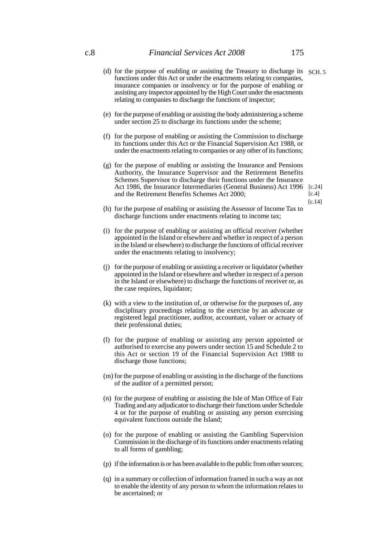- (d) for the purpose of enabling or assisting the Treasury to discharge its SCH. 5 functions under this Act or under the enactments relating to companies, insurance companies or insolvency or for the purpose of enabling or assisting any inspector appointed by the High Court under the enactments relating to companies to discharge the functions of inspector;
- (e) for the purpose of enabling or assisting the body administering a scheme under section 25 to discharge its functions under the scheme;
- (f) for the purpose of enabling or assisting the Commission to discharge its functions under this Act or the Financial Supervision Act 1988, or under the enactments relating to companies or any other of its functions;
- (g) for the purpose of enabling or assisting the Insurance and Pensions Authority, the Insurance Supervisor and the Retirement Benefits Schemes Supervisor to discharge their functions under the Insurance Act 1986, the Insurance Intermediaries (General Business) Act 1996 [c.24] and the Retirement Benefits Schemes Act 2000;  $[c.4]$
- (h) for the purpose of enabling or assisting the Assessor of Income Tax to discharge functions under enactments relating to income tax;
- (i) for the purpose of enabling or assisting an official receiver (whether appointed in the Island or elsewhere and whether in respect of a person in the Island or elsewhere) to discharge the functions of official receiver under the enactments relating to insolvency;
- (j) for the purpose of enabling or assisting a receiver or liquidator (whether appointed in the Island or elsewhere and whether in respect of a person in the Island or elsewhere) to discharge the functions of receiver or, as the case requires, liquidator;
- (k) with a view to the institution of, or otherwise for the purposes of, any disciplinary proceedings relating to the exercise by an advocate or registered legal practitioner, auditor, accountant, valuer or actuary of their professional duties;
- (l) for the purpose of enabling or assisting any person appointed or authorised to exercise any powers under section 15 and Schedule 2 to this Act or section 19 of the Financial Supervision Act 1988 to discharge those functions;
- (m) for the purpose of enabling or assisting in the discharge of the functions of the auditor of a permitted person;
- (n) for the purpose of enabling or assisting the Isle of Man Office of Fair Trading and any adjudicator to discharge their functions under Schedule 4 or for the purpose of enabling or assisting any person exercising equivalent functions outside the Island;
- (o) for the purpose of enabling or assisting the Gambling Supervision Commission in the discharge of its functions under enactments relating to all forms of gambling;
- (p) if the information is or has been available to the public from other sources;
- (q) in a summary or collection of information framed in such a way as not to enable the identity of any person to whom the information relates to be ascertained; or

[c.14]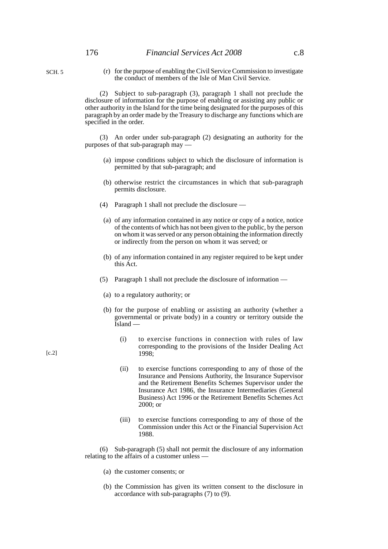(r) for the purpose of enabling the Civil Service Commission to investigate the conduct of members of the Isle of Man Civil Service.

(2) Subject to sub-paragraph (3), paragraph 1 shall not preclude the disclosure of information for the purpose of enabling or assisting any public or other authority in the Island for the time being designated for the purposes of this paragraph by an order made by the Treasury to discharge any functions which are specified in the order.

(3) An order under sub-paragraph (2) designating an authority for the purposes of that sub-paragraph may —

- (a) impose conditions subject to which the disclosure of information is permitted by that sub-paragraph; and
- (b) otherwise restrict the circumstances in which that sub-paragraph permits disclosure.
- (4) Paragraph 1 shall not preclude the disclosure —
- (a) of any information contained in any notice or copy of a notice, notice of the contents of which has not been given to the public, by the person on whom it was served or any person obtaining the information directly or indirectly from the person on whom it was served; or
- (b) of any information contained in any register required to be kept under this Act.
- (5) Paragraph 1 shall not preclude the disclosure of information —
- (a) to a regulatory authority; or
- (b) for the purpose of enabling or assisting an authority (whether a governmental or private body) in a country or territory outside the Island —
	- (i) to exercise functions in connection with rules of law corresponding to the provisions of the Insider Dealing Act 1998;
	- (ii) to exercise functions corresponding to any of those of the Insurance and Pensions Authority, the Insurance Supervisor and the Retirement Benefits Schemes Supervisor under the Insurance Act 1986, the Insurance Intermediaries (General Business) Act 1996 or the Retirement Benefits Schemes Act 2000; or
	- (iii) to exercise functions corresponding to any of those of the Commission under this Act or the Financial Supervision Act 1988.

(6) Sub-paragraph (5) shall not permit the disclosure of any information relating to the affairs of a customer unless —

- (a) the customer consents; or
- (b) the Commission has given its written consent to the disclosure in accordance with sub-paragraphs (7) to (9).

 $[c.2]$ 

SCH. 5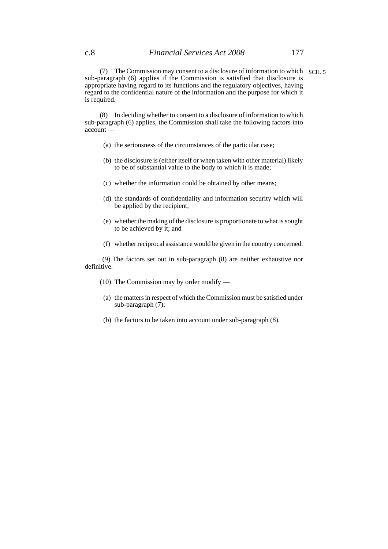(7) The Commission may consent to a disclosure of information to which SCH. 5sub-paragraph (6) applies if the Commission is satisfied that disclosure is appropriate having regard to its functions and the regulatory objectives, having regard to the confidential nature of the information and the purpose for which it is required.

(8) In deciding whether to consent to a disclosure of information to which sub-paragraph (6) applies, the Commission shall take the following factors into account —

- (a) the seriousness of the circumstances of the particular case;
- (b) the disclosure is (either itself or when taken with other material) likely to be of substantial value to the body to which it is made;
- (c) whether the information could be obtained by other means;
- (d) the standards of confidentiality and information security which will be applied by the recipient;
- (e) whether the making of the disclosure is proportionate to what is sought to be achieved by it; and
- (f) whether reciprocal assistance would be given in the country concerned.

 (9) The factors set out in sub-paragraph (8) are neither exhaustive nor definitive.

- (10) The Commission may by order modify —
- (a) the matters in respect of which the Commission must be satisfied under sub-paragraph  $(7)$ ;
- (b) the factors to be taken into account under sub-paragraph (8).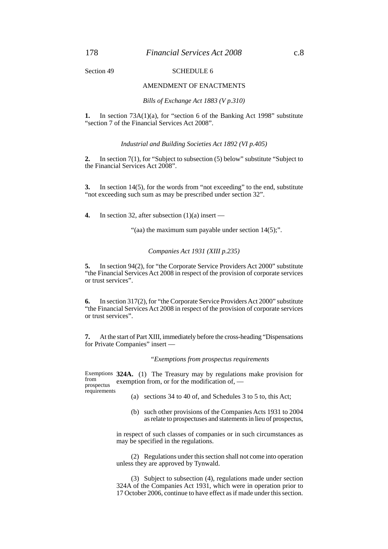#### Section 49 SCHEDULE 6

#### AMENDMENT OF ENACTMENTS

*Bills of Exchange Act 1883 (V p.310)*

**1.** In section 73A(1)(a), for "section 6 of the Banking Act 1998" substitute "section 7 of the Financial Services Act 2008".

*Industrial and Building Societies Act 1892 (VI p.405)*

**2.** In section 7(1), for "Subject to subsection (5) below" substitute "Subject to the Financial Services Act 2008".

**3.** In section 14(5), for the words from "not exceeding" to the end, substitute "not exceeding such sum as may be prescribed under section 32".

**4.** In section 32, after subsection (1)(a) insert —

"(aa) the maximum sum payable under section  $14(5)$ ;".

*Companies Act 1931 (XIII p.235)*

**5.** In section 94(2), for "the Corporate Service Providers Act 2000" substitute "the Financial Services Act 2008 in respect of the provision of corporate services or trust services".

**6.** In section 317(2), for "the Corporate Service Providers Act 2000" substitute "the Financial Services Act 2008 in respect of the provision of corporate services or trust services".

**7.** At the start of Part XIII, immediately before the cross-heading "Dispensations for Private Companies" insert —

#### *"Exemptions from prospectus requirements*

Exemptions 324A. (1) The Treasury may by regulations make provision for exemption from, or for the modification of, from prospectus requirements

- (a) sections 34 to 40 of, and Schedules 3 to 5 to, this Act;
- (b) such other provisions of the Companies Acts 1931 to 2004 as relate to prospectuses and statements in lieu of prospectus,

in respect of such classes of companies or in such circumstances as may be specified in the regulations.

(2) Regulations under this section shall not come into operation unless they are approved by Tynwald.

(3) Subject to subsection (4), regulations made under section 324A of the Companies Act 1931, which were in operation prior to 17 October 2006, continue to have effect as if made under this section.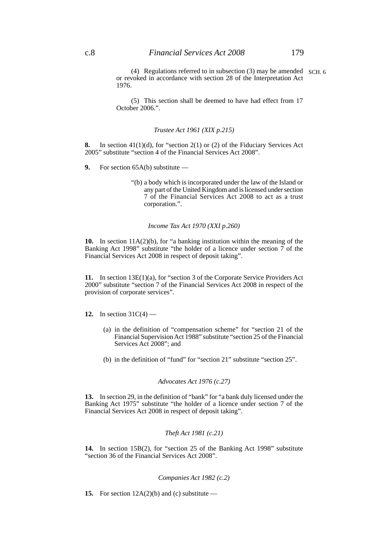(4) Regulations referred to in subsection (3) may be amended SCH. 6or revoked in accordance with section 28 of the Interpretation Act 1976.

(5) This section shall be deemed to have had effect from 17 October 2006.".

#### *Trustee Act 1961 (XIX p.215)*

**8.** In section 41(1)(d), for "section 2(1) or (2) of the Fiduciary Services Act 2005" substitute "section 4 of the Financial Services Act 2008".

- **9.** For section 65A(b) substitute
	- "(b) a body which is incorporated under the law of the Island or any part of the United Kingdom and is licensed under section 7 of the Financial Services Act 2008 to act as a trust corporation.".

#### *Income Tax Act 1970 (XXI p.260)*

**10.** In section 11A(2)(b), for "a banking institution within the meaning of the Banking Act 1998" substitute "the holder of a licence under section 7 of the Financial Services Act 2008 in respect of deposit taking".

**11.** In section 13E(1)(a), for "section 3 of the Corporate Service Providers Act 2000" substitute "section 7 of the Financial Services Act 2008 in respect of the provision of corporate services".

**12.** In section 31C(4) —

- (a) in the definition of "compensation scheme" for "section 21 of the Financial Supervision Act 1988" substitute "section 25 of the Financial Services Act 2008"; and
- (b) in the definition of "fund" for "section 21" substitute "section 25".

# *Advocates Act 1976 (c.27)*

**13.** In section 29, in the definition of "bank" for "a bank duly licensed under the Banking Act 1975" substitute "the holder of a licence under section 7 of the Financial Services Act 2008 in respect of deposit taking".

#### *Theft Act 1981 (c.21)*

**14.** In section 15B(2), for "section 25 of the Banking Act 1998" substitute "section 36 of the Financial Services Act 2008".

# *Companies Act 1982 (c.2)*

**15.** For section  $12A(2)(b)$  and (c) substitute —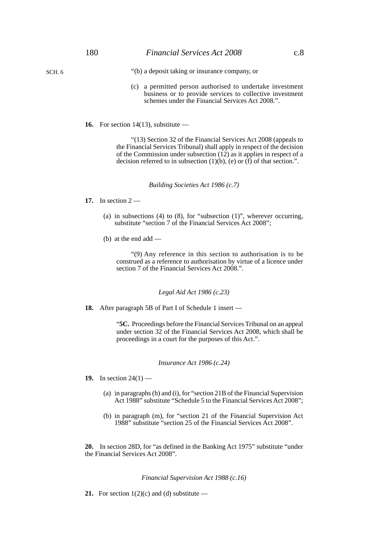SCH. 6

- "(b) a deposit taking or insurance company, or
- (c) a permitted person authorised to undertake investment business or to provide services to collective investment schemes under the Financial Services Act 2008.".
- **16.** For section 14(13), substitute —

"(13) Section 32 of the Financial Services Act 2008 (appeals to the Financial Services Tribunal) shall apply in respect of the decision of the Commission under subsection  $(12)$  as it applies in respect of a decision referred to in subsection  $(1)(b)$ ,  $(e)$  or  $(f)$  of that section.".

*Building Societies Act 1986 (c.7)*

- **17.** In section 2
	- (a) in subsections  $(4)$  to  $(8)$ , for "subsection  $(1)$ ", wherever occurring, substitute "section 7 of the Financial Services Act 2008";
	- (b) at the end add —

"(9) Any reference in this section to authorisation is to be construed as a reference to authorisation by virtue of a licence under section 7 of the Financial Services Act 2008.".

#### *Legal Aid Act 1986 (c.23)*

**18.** After paragraph 5B of Part I of Schedule 1 insert —

"**5C.** Proceedings before the Financial Services Tribunal on an appeal under section 32 of the Financial Services Act 2008, which shall be proceedings in a court for the purposes of this Act.".

#### *Insurance Act 1986 (c.24)*

- **19.** In section 24(1)
	- (a) in paragraphs (h) and (i), for "section 21B of the Financial Supervision Act 1988" substitute "Schedule 5 to the Financial Services Act 2008";
	- (b) in paragraph (m), for "section 21 of the Financial Supervision Act 1988" substitute "section 25 of the Financial Services Act 2008".

**20.** In section 28D, for "as defined in the Banking Act 1975" substitute "under the Financial Services Act 2008".

#### *Financial Supervision Act 1988 (c.16)*

**21.** For section  $1(2)(c)$  and (d) substitute —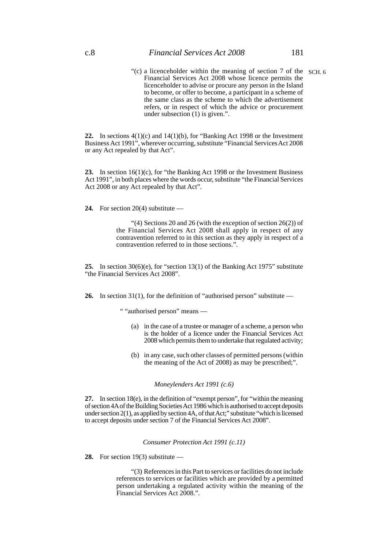"(c) a licenceholder within the meaning of section 7 of the SCH. 6Financial Services Act 2008 whose licence permits the licenceholder to advise or procure any person in the Island to become, or offer to become, a participant in a scheme of the same class as the scheme to which the advertisement refers, or in respect of which the advice or procurement under subsection (1) is given.".

**22.** In sections 4(1)(c) and 14(1)(b), for "Banking Act 1998 or the Investment Business Act 1991", wherever occurring, substitute "Financial Services Act 2008 or any Act repealed by that Act".

**23.** In section 16(1)(c), for "the Banking Act 1998 or the Investment Business Act 1991", in both places where the words occur, substitute "the Financial Services Act 2008 or any Act repealed by that Act".

**24.** For section 20(4) substitute —

"(4) Sections 20 and 26 (with the exception of section 26(2)) of the Financial Services Act 2008 shall apply in respect of any contravention referred to in this section as they apply in respect of a contravention referred to in those sections.".

**25.** In section 30(6)(e), for "section 13(1) of the Banking Act 1975" substitute "the Financial Services Act 2008".

26. In section 31(1), for the definition of "authorised person" substitute —

" "authorised person" means —

- (a) in the case of a trustee or manager of a scheme, a person who is the holder of a licence under the Financial Services Act 2008 which permits them to undertake that regulated activity;
- (b) in any case, such other classes of permitted persons (within the meaning of the Act of 2008) as may be prescribed;".

### *Moneylenders Act 1991 (c.6)*

**27.** In section 18(e), in the definition of "exempt person", for "within the meaning of section 4A of the Building Societies Act 1986 which is authorised to accept deposits under section 2(1), as applied by section 4A, of that Act;" substitute "which is licensed to accept deposits under section 7 of the Financial Services Act 2008".

*Consumer Protection Act 1991 (c.11)*

**28.** For section 19(3) substitute —

"(3) References in this Part to services or facilities do not include references to services or facilities which are provided by a permitted person undertaking a regulated activity within the meaning of the Financial Services Act 2008.".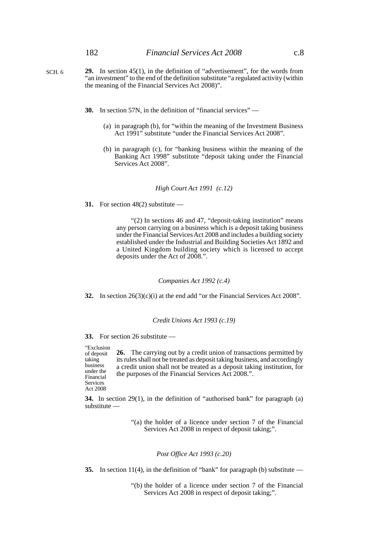- **29.** In section 45(1), in the definition of "advertisement", for the words from "an investment" to the end of the definition substitute "a regulated activity (within the meaning of the Financial Services Act 2008)". SCH. 6
	- **30.** In section 57N, in the definition of "financial services"
		- (a) in paragraph (b), for "within the meaning of the Investment Business Act 1991" substitute "under the Financial Services Act 2008".
		- (b) in paragraph (c), for "banking business within the meaning of the Banking Act 1998" substitute "deposit taking under the Financial Services Act 2008".

#### *High Court Act 1991 (c.12)*

**31.** For section 48(2) substitute —

"(2) In sections 46 and 47, "deposit-taking institution" means any person carrying on a business which is a deposit taking business under the Financial Services Act 2008 and includes a building society established under the Industrial and Building Societies Act 1892 and a United Kingdom building society which is licensed to accept deposits under the Act of 2008.".

#### *Companies Act 1992 (c.4)*

**32.** In section 26(3)(c)(i) at the end add "or the Financial Services Act 2008".

### *Credit Unions Act 1993 (c.19)*

**33.** For section 26 substitute —

**26.** The carrying out by a credit union of transactions permitted by its rules shall not be treated as deposit taking business, and accordingly a credit union shall not be treated as a deposit taking institution, for the purposes of the Financial Services Act 2008.". "Exclusion of deposit taking business under the Financial Services Act 2008

**34.** In section 29(1), in the definition of "authorised bank" for paragraph (a) substitute —

> "(a) the holder of a licence under section 7 of the Financial Services Act 2008 in respect of deposit taking;".

#### *Post Office Act 1993 (c.20)*

**35.** In section 11(4), in the definition of "bank" for paragraph (b) substitute —

"(b) the holder of a licence under section 7 of the Financial Services Act 2008 in respect of deposit taking;".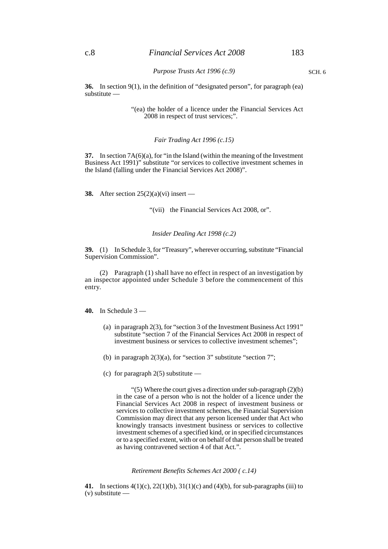SCH. 6

*Purpose Trusts Act 1996 (c.9)*

**36.** In section 9(1), in the definition of "designated person", for paragraph (ea) substitute -

> "(ea) the holder of a licence under the Financial Services Act 2008 in respect of trust services;".

> > *Fair Trading Act 1996 (c.15)*

**37.** In section 7A(6)(a), for "in the Island (within the meaning of the Investment Business Act 1991)" substitute "or services to collective investment schemes in the Island (falling under the Financial Services Act 2008)".

**38.** After section 25(2)(a)(vi) insert —

"(vii) the Financial Services Act 2008, or".

#### *Insider Dealing Act 1998 (c.2)*

**39.** (1) In Schedule 3, for "Treasury", wherever occurring, substitute "Financial Supervision Commission".

(2) Paragraph (1) shall have no effect in respect of an investigation by an inspector appointed under Schedule 3 before the commencement of this entry.

**40.** In Schedule 3 —

- (a) in paragraph 2(3), for "section 3 of the Investment Business Act 1991" substitute "section 7 of the Financial Services Act 2008 in respect of investment business or services to collective investment schemes";
- (b) in paragraph 2(3)(a), for "section 3" substitute "section 7";
- (c) for paragraph  $2(5)$  substitute —

"(5) Where the court gives a direction under sub-paragraph (2)(b) in the case of a person who is not the holder of a licence under the Financial Services Act 2008 in respect of investment business or services to collective investment schemes, the Financial Supervision Commission may direct that any person licensed under that Act who knowingly transacts investment business or services to collective investment schemes of a specified kind, or in specified circumstances or to a specified extent, with or on behalf of that person shall be treated as having contravened section 4 of that Act.".

*Retirement Benefits Schemes Act 2000 ( c.14)*

**41.** In sections 4(1)(c), 22(1)(b), 31(1)(c) and (4)(b), for sub-paragraphs (iii) to (v) substitute —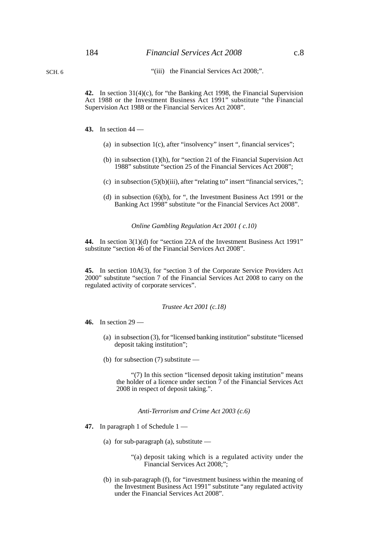SCH. 6

**42.** In section 31(4)(c), for "the Banking Act 1998, the Financial Supervision Act 1988 or the Investment Business Act 1991" substitute "the Financial Supervision Act 1988 or the Financial Services Act 2008".

- **43.** In section 44
	- (a) in subsection 1(c), after "insolvency" insert ", financial services";
	- (b) in subsection (1)(h), for "section 21 of the Financial Supervision Act 1988" substitute "section 25 of the Financial Services Act 2008";
	- (c) in subsection  $(5)(b)(iii)$ , after "relating to" insert "financial services,";
	- (d) in subsection (6)(b), for ", the Investment Business Act 1991 or the Banking Act 1998" substitute "or the Financial Services Act 2008".

*Online Gambling Regulation Act 2001 ( c.10)*

**44.** In section 3(1)(d) for "section 22A of the Investment Business Act 1991" substitute "section 46 of the Financial Services Act 2008".

**45.** In section 10A(3), for "section 3 of the Corporate Service Providers Act 2000" substitute "section 7 of the Financial Services Act 2008 to carry on the regulated activity of corporate services".

*Trustee Act 2001 (c.18)*

**46.** In section 29 —

- (a) in subsection (3), for "licensed banking institution" substitute "licensed deposit taking institution";
- (b) for subsection (7) substitute —

"(7) In this section "licensed deposit taking institution" means the holder of a licence under section 7 of the Financial Services Act 2008 in respect of deposit taking.".

*Anti-Terrorism and Crime Act 2003 (c.6)*

- **47.** In paragraph 1 of Schedule 1
	- (a) for sub-paragraph (a), substitute  $-$ 
		- "(a) deposit taking which is a regulated activity under the Financial Services Act 2008;";
	- (b) in sub-paragraph (f), for "investment business within the meaning of the Investment Business Act 1991" substitute "any regulated activity under the Financial Services Act 2008".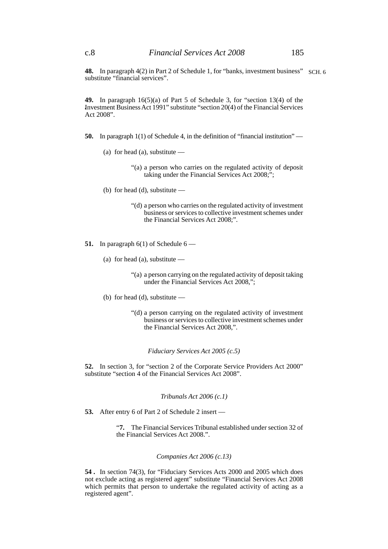**48.** In paragraph 4(2) in Part 2 of Schedule 1, for "banks, investment business" SCH. 6 substitute "financial services".

**49.** In paragraph 16(5)(a) of Part 5 of Schedule 3, for "section 13(4) of the Investment Business Act 1991" substitute "section 20(4) of the Financial Services Act 2008".

- **50.** In paragraph 1(1) of Schedule 4, in the definition of "financial institution"
	- (a) for head (a), substitute  $-$ 
		- "(a) a person who carries on the regulated activity of deposit taking under the Financial Services Act 2008;";
	- (b) for head (d), substitute
		- "(d) a person who carries on the regulated activity of investment business or services to collective investment schemes under the Financial Services Act 2008;".
- **51.** In paragraph  $6(1)$  of Schedule  $6$ 
	- (a) for head (a), substitute  $-$ 
		- "(a) a person carrying on the regulated activity of deposit taking under the Financial Services Act 2008,";
	- (b) for head (d), substitute  $-$ 
		- "(d) a person carrying on the regulated activity of investment business or services to collective investment schemes under the Financial Services Act 2008,".

*Fiduciary Services Act 2005 (c.5)*

**52.** In section 3, for "section 2 of the Corporate Service Providers Act 2000" substitute "section 4 of the Financial Services Act 2008".

## *Tribunals Act 2006 (c.1)*

**53.** After entry 6 of Part 2 of Schedule 2 insert —

"**7.** The Financial Services Tribunal established under section 32 of the Financial Services Act 2008.".

### *Companies Act 2006 (c.13)*

**54 .** In section 74(3), for "Fiduciary Services Acts 2000 and 2005 which does not exclude acting as registered agent" substitute "Financial Services Act 2008 which permits that person to undertake the regulated activity of acting as a registered agent".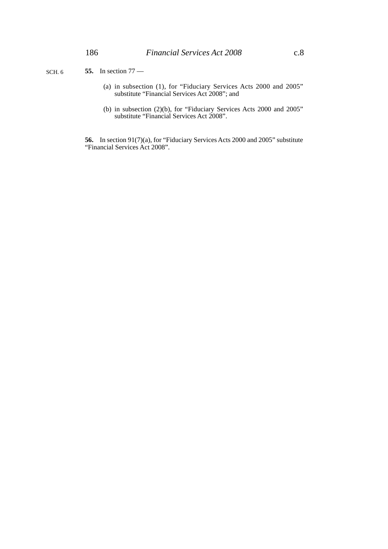- (a) in subsection (1), for "Fiduciary Services Acts 2000 and 2005" substitute "Financial Services Act 2008"; and
- (b) in subsection (2)(b), for "Fiduciary Services Acts 2000 and 2005" substitute "Financial Services Act 2008".

**56.** In section 91(7)(a), for "Fiduciary Services Acts 2000 and 2005" substitute "Financial Services Act 2008".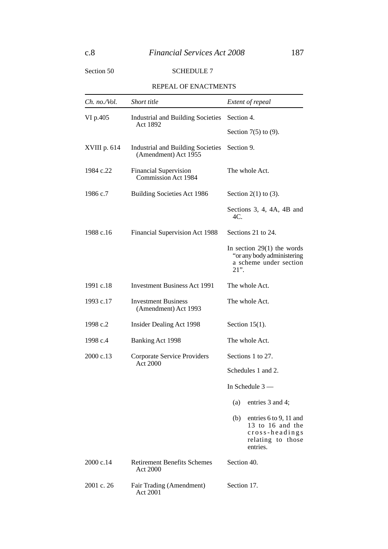# Section 50 SCHEDULE 7

## REPEAL OF ENACTMENTS

| Ch. no./Vol. | Short title                                                      | Extent of repeal                                                                                     |  |  |
|--------------|------------------------------------------------------------------|------------------------------------------------------------------------------------------------------|--|--|
| VI p.405     | <b>Industrial and Building Societies</b>                         | Section 4.                                                                                           |  |  |
|              | Act 1892                                                         | Section $7(5)$ to $(9)$ .                                                                            |  |  |
| XVIII p. 614 | <b>Industrial and Building Societies</b><br>(Amendment) Act 1955 | Section 9.                                                                                           |  |  |
| 1984 c.22    | <b>Financial Supervision</b><br>Commission Act 1984              | The whole Act.                                                                                       |  |  |
| 1986 c.7     | <b>Building Societies Act 1986</b>                               | Section $2(1)$ to $(3)$ .                                                                            |  |  |
|              |                                                                  | Sections $3, 4, 4A, 4B$ and<br>$4C$ .                                                                |  |  |
| 1988 c.16    | Financial Supervision Act 1988                                   | Sections 21 to 24.                                                                                   |  |  |
|              |                                                                  | In section $29(1)$ the words<br>"or any body administering<br>a scheme under section<br>$21$ ".      |  |  |
| 1991 c.18    | <b>Investment Business Act 1991</b>                              | The whole Act.                                                                                       |  |  |
| 1993 c.17    | <b>Investment Business</b><br>(Amendment) Act 1993               | The whole Act.                                                                                       |  |  |
| 1998 c.2     | Insider Dealing Act 1998                                         | Section $15(1)$ .                                                                                    |  |  |
| 1998 c.4     | Banking Act 1998                                                 | The whole Act.                                                                                       |  |  |
| 2000 c.13    | Corporate Service Providers<br>Act 2000                          | Sections 1 to 27.                                                                                    |  |  |
|              |                                                                  | Schedules 1 and 2.                                                                                   |  |  |
|              |                                                                  | In Schedule $3-$                                                                                     |  |  |
|              |                                                                  | (a)<br>entries 3 and 4;                                                                              |  |  |
|              |                                                                  | (b)<br>entries 6 to 9, 11 and<br>13 to 16 and the<br>cross-headings<br>relating to those<br>entries. |  |  |
| 2000c.14     | <b>Retirement Benefits Schemes</b><br>Act 2000                   | Section 40.                                                                                          |  |  |
| 2001 c. 26   | Fair Trading (Amendment)<br>Act 2001                             | Section 17.                                                                                          |  |  |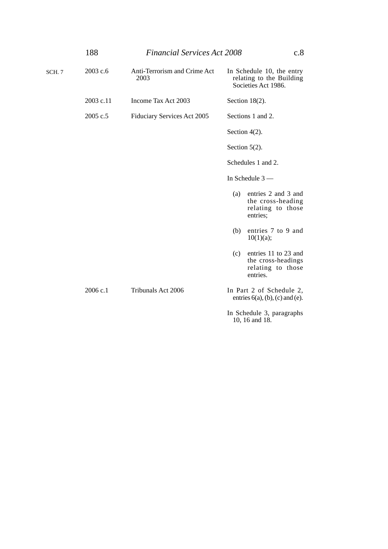|        | 188       | <b>Financial Services Act 2008</b>   |                                                                                    | c.8 |
|--------|-----------|--------------------------------------|------------------------------------------------------------------------------------|-----|
| SCH. 7 | 2003 c.6  | Anti-Terrorism and Crime Act<br>2003 | In Schedule 10, the entry<br>relating to the Building<br>Societies Act 1986.       |     |
|        | 2003 c.11 | Income Tax Act 2003                  | Section $18(2)$ .                                                                  |     |
|        | 2005 c.5  | Fiduciary Services Act 2005          | Sections 1 and 2.                                                                  |     |
|        |           |                                      | Section $4(2)$ .                                                                   |     |
|        |           |                                      | Section $5(2)$ .                                                                   |     |
|        |           |                                      | Schedules 1 and 2.                                                                 |     |
|        |           |                                      | In Schedule $3-$                                                                   |     |
|        |           |                                      | entries 2 and 3 and<br>(a)<br>the cross-heading<br>relating to those<br>entries;   |     |
|        |           |                                      | entries 7 to 9 and<br>(b)<br>10(1)(a);                                             |     |
|        |           |                                      | entries 11 to 23 and<br>(c)<br>the cross-headings<br>relating to those<br>entries. |     |
|        | 2006 c.1  | Tribunals Act 2006                   | In Part 2 of Schedule 2,<br>entries $6(a)$ , $(b)$ , $(c)$ and $(e)$ .             |     |
|        |           |                                      | In Schedule 3, paragraphs<br>10, 16 and 18.                                        |     |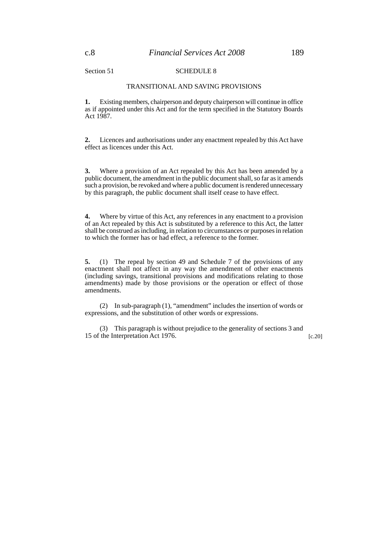Section 51 SCHEDULE 8

## TRANSITIONAL AND SAVING PROVISIONS

**1.** Existing members, chairperson and deputy chairperson will continue in office as if appointed under this Act and for the term specified in the Statutory Boards Act 1987.

**2.** Licences and authorisations under any enactment repealed by this Act have effect as licences under this Act.

**3.** Where a provision of an Act repealed by this Act has been amended by a public document, the amendment in the public document shall, so far as it amends such a provision, be revoked and where a public document is rendered unnecessary by this paragraph, the public document shall itself cease to have effect.

**4.** Where by virtue of this Act, any references in any enactment to a provision of an Act repealed by this Act is substituted by a reference to this Act, the latter shall be construed as including, in relation to circumstances or purposes in relation to which the former has or had effect, a reference to the former.

**5.** (1) The repeal by section 49 and Schedule 7 of the provisions of any enactment shall not affect in any way the amendment of other enactments (including savings, transitional provisions and modifications relating to those amendments) made by those provisions or the operation or effect of those amendments.

(2) In sub-paragraph (1), "amendment" includes the insertion of words or expressions, and the substitution of other words or expressions.

(3) This paragraph is without prejudice to the generality of sections 3 and 15 of the Interpretation Act 1976. [c.20]